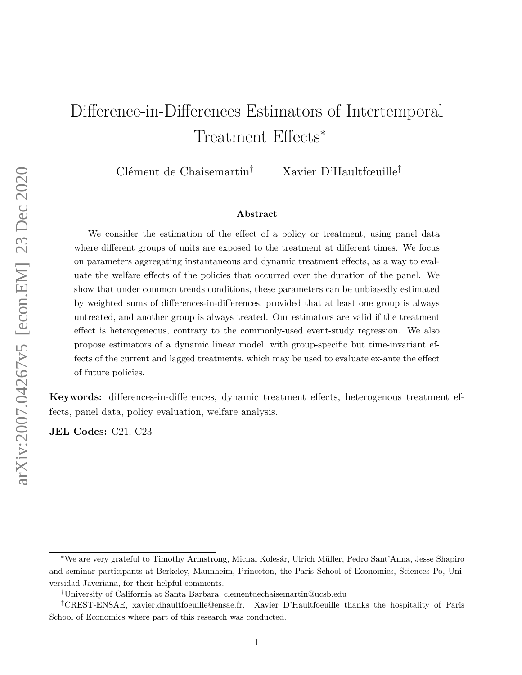# Difference-in-Differences Estimators of Intertemporal Treatment Effects<sup>\*</sup>

Clément de Chaisemartin† Xavier D'Haultfœuille‡

#### **Abstract**

We consider the estimation of the effect of a policy or treatment, using panel data where different groups of units are exposed to the treatment at different times. We focus on parameters aggregating instantaneous and dynamic treatment effects, as a way to evaluate the welfare effects of the policies that occurred over the duration of the panel. We show that under common trends conditions, these parameters can be unbiasedly estimated by weighted sums of differences-in-differences, provided that at least one group is always untreated, and another group is always treated. Our estimators are valid if the treatment effect is heterogeneous, contrary to the commonly-used event-study regression. We also propose estimators of a dynamic linear model, with group-specific but time-invariant effects of the current and lagged treatments, which may be used to evaluate ex-ante the effect of future policies.

**Keywords:** differences-in-differences, dynamic treatment effects, heterogenous treatment effects, panel data, policy evaluation, welfare analysis.

**JEL Codes:** C21, C23

<sup>∗</sup>We are very grateful to Timothy Armstrong, Michal Kolesár, Ulrich Müller, Pedro Sant'Anna, Jesse Shapiro and seminar participants at Berkeley, Mannheim, Princeton, the Paris School of Economics, Sciences Po, Universidad Javeriana, for their helpful comments.

<sup>†</sup>University of California at Santa Barbara, clementdechaisemartin@ucsb.edu

<sup>‡</sup>CREST-ENSAE, xavier.dhaultfoeuille@ensae.fr. Xavier D'Haultfoeuille thanks the hospitality of Paris School of Economics where part of this research was conducted.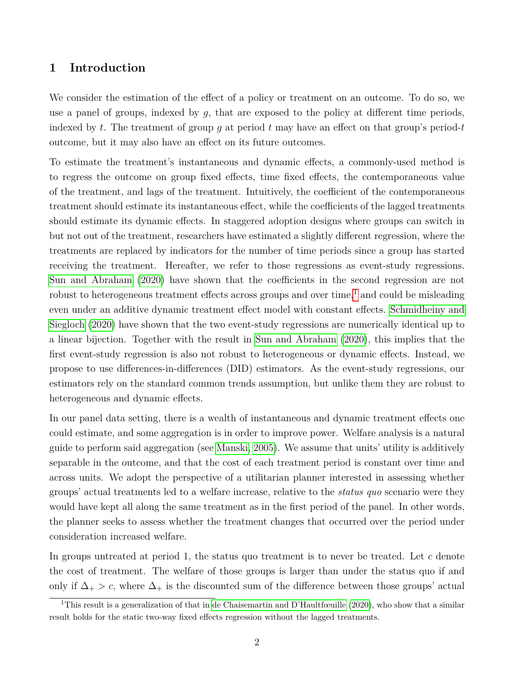# **1 Introduction**

We consider the estimation of the effect of a policy or treatment on an outcome. To do so, we use a panel of groups, indexed by *g*, that are exposed to the policy at different time periods, indexed by *t*. The treatment of group *g* at period *t* may have an effect on that group's period-*t* outcome, but it may also have an effect on its future outcomes.

To estimate the treatment's instantaneous and dynamic effects, a commonly-used method is to regress the outcome on group fixed effects, time fixed effects, the contemporaneous value of the treatment, and lags of the treatment. Intuitively, the coefficient of the contemporaneous treatment should estimate its instantaneous effect, while the coefficients of the lagged treatments should estimate its dynamic effects. In staggered adoption designs where groups can switch in but not out of the treatment, researchers have estimated a slightly different regression, where the treatments are replaced by indicators for the number of time periods since a group has started receiving the treatment. Hereafter, we refer to those regressions as event-study regressions. [Sun and Abraham](#page-21-0) [\(2020\)](#page-21-0) have shown that the coefficients in the second regression are not robust to heterogeneous treatment effects across groups and over time,<sup>[1](#page-1-0)</sup> and could be misleading even under an additive dynamic treatment effect model with constant effects. [Schmidheiny and](#page-21-1) [Siegloch](#page-21-1) [\(2020\)](#page-21-1) have shown that the two event-study regressions are numerically identical up to a linear bijection. Together with the result in [Sun and Abraham](#page-21-0) [\(2020\)](#page-21-0), this implies that the first event-study regression is also not robust to heterogeneous or dynamic effects. Instead, we propose to use differences-in-differences (DID) estimators. As the event-study regressions, our estimators rely on the standard common trends assumption, but unlike them they are robust to heterogeneous and dynamic effects.

In our panel data setting, there is a wealth of instantaneous and dynamic treatment effects one could estimate, and some aggregation is in order to improve power. Welfare analysis is a natural guide to perform said aggregation (see [Manski, 2005\)](#page-20-0). We assume that units' utility is additively separable in the outcome, and that the cost of each treatment period is constant over time and across units. We adopt the perspective of a utilitarian planner interested in assessing whether groups' actual treatments led to a welfare increase, relative to the *status quo* scenario were they would have kept all along the same treatment as in the first period of the panel. In other words, the planner seeks to assess whether the treatment changes that occurred over the period under consideration increased welfare.

In groups untreated at period 1, the status quo treatment is to never be treated. Let *c* denote the cost of treatment. The welfare of those groups is larger than under the status quo if and only if  $\Delta_+ > c$ , where  $\Delta_+$  is the discounted sum of the difference between those groups' actual

<span id="page-1-0"></span><sup>&</sup>lt;sup>1</sup>This result is a generalization of that in [de Chaisemartin and D'Haultfœuille](#page-20-1) [\(2020\)](#page-20-1), who show that a similar result holds for the static two-way fixed effects regression without the lagged treatments.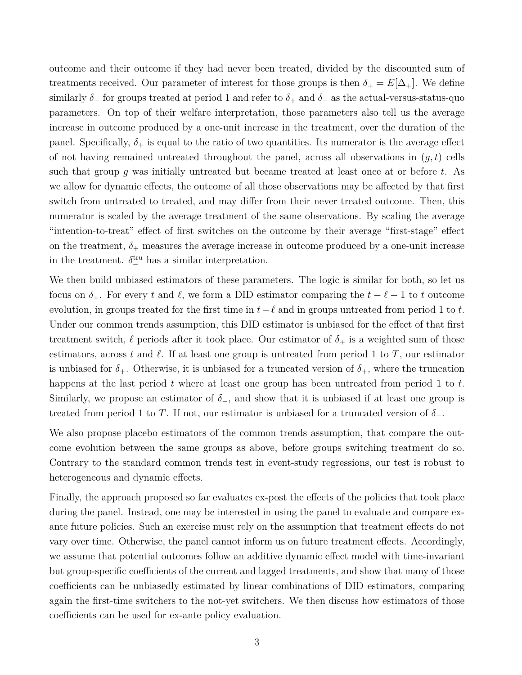outcome and their outcome if they had never been treated, divided by the discounted sum of treatments received. Our parameter of interest for those groups is then  $\delta_{+} = E[\Delta_{+}]$ . We define similarly  $\delta$ <sup>−</sup> for groups treated at period 1 and refer to  $\delta$ <sup>+</sup> and  $\delta$ <sup>−</sup> as the actual-versus-status-quo parameters. On top of their welfare interpretation, those parameters also tell us the average increase in outcome produced by a one-unit increase in the treatment, over the duration of the panel. Specifically,  $\delta_+$  is equal to the ratio of two quantities. Its numerator is the average effect of not having remained untreated throughout the panel, across all observations in (*g, t*) cells such that group *g* was initially untreated but became treated at least once at or before *t*. As we allow for dynamic effects, the outcome of all those observations may be affected by that first switch from untreated to treated, and may differ from their never treated outcome. Then, this numerator is scaled by the average treatment of the same observations. By scaling the average "intention-to-treat" effect of first switches on the outcome by their average "first-stage" effect on the treatment,  $\delta_+$  measures the average increase in outcome produced by a one-unit increase in the treatment.  $\delta^{\text{tru}}_{-}$  has a similar interpretation.

We then build unbiased estimators of these parameters. The logic is similar for both, so let us focus on  $\delta_+$ . For every *t* and  $\ell$ , we form a DID estimator comparing the  $t - \ell - 1$  to *t* outcome evolution, in groups treated for the first time in  $t-\ell$  and in groups untreated from period 1 to  $t$ . Under our common trends assumption, this DID estimator is unbiased for the effect of that first treatment switch,  $\ell$  periods after it took place. Our estimator of  $\delta_+$  is a weighted sum of those estimators, across  $t$  and  $\ell$ . If at least one group is untreated from period 1 to  $T$ , our estimator is unbiased for  $\delta_+$ . Otherwise, it is unbiased for a truncated version of  $\delta_+$ , where the truncation happens at the last period *t* where at least one group has been untreated from period 1 to *t*. Similarly, we propose an estimator of  $\delta$ <sub>−</sub>, and show that it is unbiased if at least one group is treated from period 1 to *T*. If not, our estimator is unbiased for a truncated version of *δ*−.

We also propose placebo estimators of the common trends assumption, that compare the outcome evolution between the same groups as above, before groups switching treatment do so. Contrary to the standard common trends test in event-study regressions, our test is robust to heterogeneous and dynamic effects.

Finally, the approach proposed so far evaluates ex-post the effects of the policies that took place during the panel. Instead, one may be interested in using the panel to evaluate and compare exante future policies. Such an exercise must rely on the assumption that treatment effects do not vary over time. Otherwise, the panel cannot inform us on future treatment effects. Accordingly, we assume that potential outcomes follow an additive dynamic effect model with time-invariant but group-specific coefficients of the current and lagged treatments, and show that many of those coefficients can be unbiasedly estimated by linear combinations of DID estimators, comparing again the first-time switchers to the not-yet switchers. We then discuss how estimators of those coefficients can be used for ex-ante policy evaluation.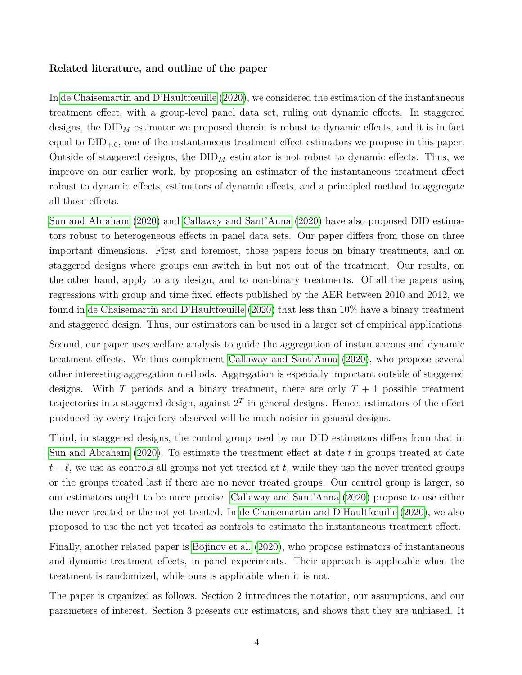#### **Related literature, and outline of the paper**

In [de Chaisemartin and D'Haultfœuille](#page-20-1) [\(2020\)](#page-20-1), we considered the estimation of the instantaneous treatment effect, with a group-level panel data set, ruling out dynamic effects. In staggered designs, the  $DID_M$  estimator we proposed therein is robust to dynamic effects, and it is in fact equal to  $DID_{+,0}$ , one of the instantaneous treatment effect estimators we propose in this paper. Outside of staggered designs, the  $DID_M$  estimator is not robust to dynamic effects. Thus, we improve on our earlier work, by proposing an estimator of the instantaneous treatment effect robust to dynamic effects, estimators of dynamic effects, and a principled method to aggregate all those effects.

[Sun and Abraham](#page-21-0) [\(2020\)](#page-21-0) and [Callaway and Sant'Anna](#page-20-2) [\(2020\)](#page-20-2) have also proposed DID estimators robust to heterogeneous effects in panel data sets. Our paper differs from those on three important dimensions. First and foremost, those papers focus on binary treatments, and on staggered designs where groups can switch in but not out of the treatment. Our results, on the other hand, apply to any design, and to non-binary treatments. Of all the papers using regressions with group and time fixed effects published by the AER between 2010 and 2012, we found in [de Chaisemartin and D'Haultfœuille](#page-20-1) [\(2020\)](#page-20-1) that less than 10% have a binary treatment and staggered design. Thus, our estimators can be used in a larger set of empirical applications.

Second, our paper uses welfare analysis to guide the aggregation of instantaneous and dynamic treatment effects. We thus complement [Callaway and Sant'Anna](#page-20-2) [\(2020\)](#page-20-2), who propose several other interesting aggregation methods. Aggregation is especially important outside of staggered designs. With *T* periods and a binary treatment, there are only  $T + 1$  possible treatment trajectories in a staggered design, against  $2<sup>T</sup>$  in general designs. Hence, estimators of the effect produced by every trajectory observed will be much noisier in general designs.

Third, in staggered designs, the control group used by our DID estimators differs from that in [Sun and Abraham](#page-21-0) [\(2020\)](#page-21-0). To estimate the treatment effect at date *t* in groups treated at date  $t - \ell$ , we use as controls all groups not yet treated at *t*, while they use the never treated groups or the groups treated last if there are no never treated groups. Our control group is larger, so our estimators ought to be more precise. [Callaway and Sant'Anna](#page-20-2) [\(2020\)](#page-20-2) propose to use either the never treated or the not yet treated. In [de Chaisemartin and D'Haultfœuille](#page-20-1) [\(2020\)](#page-20-1), we also proposed to use the not yet treated as controls to estimate the instantaneous treatment effect.

Finally, another related paper is [Bojinov et al.](#page-20-3) [\(2020\)](#page-20-3), who propose estimators of instantaneous and dynamic treatment effects, in panel experiments. Their approach is applicable when the treatment is randomized, while ours is applicable when it is not.

The paper is organized as follows. Section 2 introduces the notation, our assumptions, and our parameters of interest. Section 3 presents our estimators, and shows that they are unbiased. It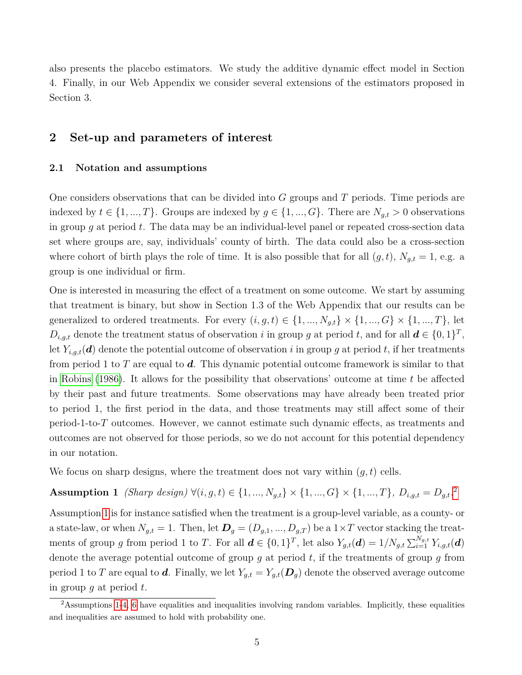also presents the placebo estimators. We study the additive dynamic effect model in Section 4. Finally, in our Web Appendix we consider several extensions of the estimators proposed in Section 3.

# **2 Set-up and parameters of interest**

#### **2.1 Notation and assumptions**

One considers observations that can be divided into *G* groups and *T* periods. Time periods are indexed by  $t \in \{1, ..., T\}$ . Groups are indexed by  $g \in \{1, ..., G\}$ . There are  $N_{g,t} > 0$  observations in group *g* at period *t*. The data may be an individual-level panel or repeated cross-section data set where groups are, say, individuals' county of birth. The data could also be a cross-section where cohort of birth plays the role of time. It is also possible that for all  $(g, t)$ ,  $N_{g,t} = 1$ , e.g. a group is one individual or firm.

One is interested in measuring the effect of a treatment on some outcome. We start by assuming that treatment is binary, but show in Section 1.3 of the Web Appendix that our results can be generalized to ordered treatments. For every  $(i, g, t) \in \{1, ..., N_{g,t}\} \times \{1, ..., G\} \times \{1, ..., T\}$ , let  $D_{i,g,t}$  denote the treatment status of observation *i* in group *g* at period *t*, and for all  $d \in \{0,1\}^T$ , let  $Y_{i,q,t}(\boldsymbol{d})$  denote the potential outcome of observation *i* in group g at period t, if her treatments from period 1 to *T* are equal to d. This dynamic potential outcome framework is similar to that in [Robins](#page-20-4) [\(1986\)](#page-20-4). It allows for the possibility that observations' outcome at time *t* be affected by their past and future treatments. Some observations may have already been treated prior to period 1, the first period in the data, and those treatments may still affect some of their period-1-to-*T* outcomes. However, we cannot estimate such dynamic effects, as treatments and outcomes are not observed for those periods, so we do not account for this potential dependency in our notation.

<span id="page-4-1"></span>We focus on sharp designs, where the treatment does not vary within (*g, t*) cells.

**Assumption 1** *(Sharp design)*  $\forall (i, g, t) \in \{1, ..., N_{g,t}\} \times \{1, ..., G\} \times \{1, ..., T\}$ ,  $D_{i, g, t} = D_{g, t}$ .

Assumption [1](#page-4-1) is for instance satisfied when the treatment is a group-level variable, as a county- or a state-law, or when  $N_{g,t} = 1$ . Then, let  $\mathbf{D}_g = (D_{g,1}, ..., D_{g,T})$  be a  $1 \times T$  vector stacking the treatments of group *g* from period 1 to *T*. For all  $\mathbf{d} \in \{0,1\}^T$ , let also  $Y_{g,t}(\mathbf{d}) = 1/N_{g,t} \sum_{i=1}^{N_{g,t}} Y_{i,g,t}(\mathbf{d})$ denote the average potential outcome of group *g* at period *t*, if the treatments of group *g* from period 1 to *T* are equal to *d*. Finally, we let  $Y_{g,t} = Y_{g,t}(\mathbf{D}_g)$  denote the observed average outcome in group *g* at period *t*.

<span id="page-4-2"></span><span id="page-4-0"></span><sup>&</sup>lt;sup>2</sup>Assumptions [1-](#page-4-1)[4,](#page-5-0) [6](#page-6-0) have equalities and inequalities involving random variables. Implicitly, these equalities and inequalities are assumed to hold with probability one.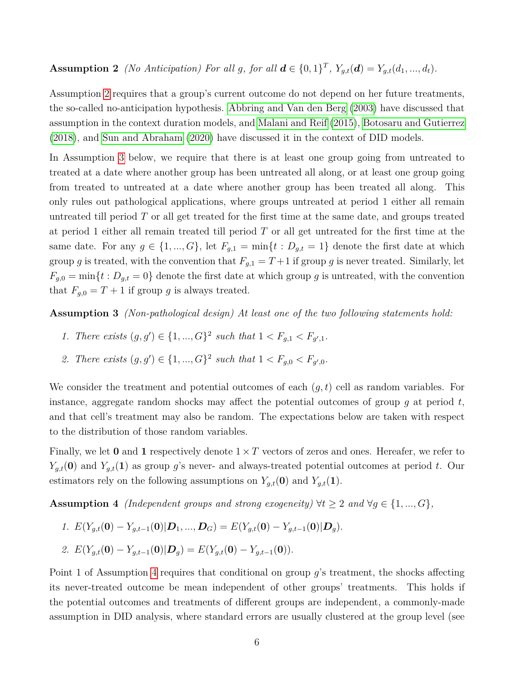**Assumption 2** *(No Anticipation) For all*  $g$ *, for all*  $d \in \{0,1\}^T$ ,  $Y_{g,t}(d) = Y_{g,t}(d_1, ..., d_t)$ *.* 

Assumption [2](#page-4-2) requires that a group's current outcome do not depend on her future treatments, the so-called no-anticipation hypothesis. [Abbring and Van den Berg](#page-20-5) [\(2003\)](#page-20-5) have discussed that assumption in the context duration models, and [Malani and Reif](#page-20-6) [\(2015\)](#page-20-6), [Botosaru and Gutierrez](#page-20-7) [\(2018\)](#page-20-7), and [Sun and Abraham](#page-21-0) [\(2020\)](#page-21-0) have discussed it in the context of DID models.

In Assumption [3](#page-5-1) below, we require that there is at least one group going from untreated to treated at a date where another group has been untreated all along, or at least one group going from treated to untreated at a date where another group has been treated all along. This only rules out pathological applications, where groups untreated at period 1 either all remain untreated till period *T* or all get treated for the first time at the same date, and groups treated at period 1 either all remain treated till period *T* or all get untreated for the first time at the same date. For any  $g \in \{1, ..., G\}$ , let  $F_{g,1} = \min\{t : D_{g,t} = 1\}$  denote the first date at which group *g* is treated, with the convention that  $F_{g,1} = T + 1$  if group *g* is never treated. Similarly, let  $F_{g,0} = \min\{t : D_{g,t} = 0\}$  denote the first date at which group *g* is untreated, with the convention that  $F_{g,0} = T + 1$  if group g is always treated.

**Assumption 3** *(Non-pathological design) At least one of the two following statements hold:*

- <span id="page-5-1"></span>*1. There exists*  $(g, g') \in \{1, ..., G\}^2$  *such that*  $1 < F_{g,1} < F_{g',1}$ *.*
- 2. *There exists*  $(g, g') \in \{1, ..., G\}^2$  such that  $1 < F_{g,0} < F_{g,0}$ .

We consider the treatment and potential outcomes of each (*g, t*) cell as random variables. For instance, aggregate random shocks may affect the potential outcomes of group *g* at period *t*, and that cell's treatment may also be random. The expectations below are taken with respect to the distribution of those random variables.

Finally, we let 0 and 1 respectively denote  $1 \times T$  vectors of zeros and ones. Hereafer, we refer to  $Y_{g,t}(\mathbf{0})$  and  $Y_{g,t}(\mathbf{1})$  as group *g*'s never- and always-treated potential outcomes at period *t*. Our estimators rely on the following assumptions on  $Y_{g,t}(\mathbf{0})$  and  $Y_{g,t}(\mathbf{1})$ .

**Assumption 4** *(Independent groups and strong exogeneity)*  $\forall t \geq 2$  *and*  $\forall g \in \{1, ..., G\}$ *,* 

<span id="page-5-0"></span>*1.*  $E(Y_{a,t}(\mathbf{0}) - Y_{a,t-1}(\mathbf{0}) | \mathbf{D}_1, ..., \mathbf{D}_G) = E(Y_{a,t}(\mathbf{0}) - Y_{a,t-1}(\mathbf{0}) | \mathbf{D}_g)$ .

2. 
$$
E(Y_{g,t}(\mathbf{0}) - Y_{g,t-1}(\mathbf{0}) | \mathbf{D}_g) = E(Y_{g,t}(\mathbf{0}) - Y_{g,t-1}(\mathbf{0})).
$$

Point 1 of Assumption [4](#page-5-0) requires that conditional on group *g*'s treatment, the shocks affecting its never-treated outcome be mean independent of other groups' treatments. This holds if the potential outcomes and treatments of different groups are independent, a commonly-made assumption in DID analysis, where standard errors are usually clustered at the group level (see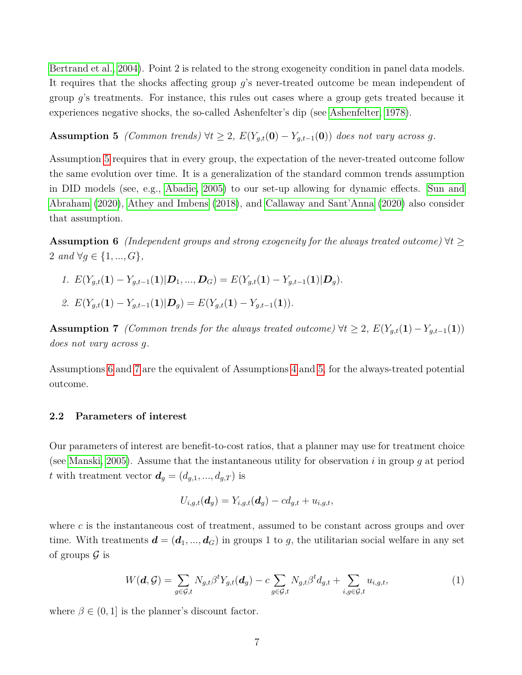[Bertrand et al., 2004\)](#page-20-8). Point 2 is related to the strong exogeneity condition in panel data models. It requires that the shocks affecting group *g*'s never-treated outcome be mean independent of group *g*'s treatments. For instance, this rules out cases where a group gets treated because it experiences negative shocks, the so-called Ashenfelter's dip (see [Ashenfelter, 1978\)](#page-20-9).

<span id="page-6-1"></span>**Assumption 5** *(Common trends)*  $\forall t \geq 2$ *,*  $E(Y_{g,t}(\mathbf{0}) - Y_{g,t-1}(\mathbf{0}))$  *does not vary across g.* 

Assumption [5](#page-6-1) requires that in every group, the expectation of the never-treated outcome follow the same evolution over time. It is a generalization of the standard common trends assumption in DID models (see, e.g., [Abadie, 2005\)](#page-20-10) to our set-up allowing for dynamic effects. [Sun and](#page-21-0) [Abraham](#page-21-0) [\(2020\)](#page-21-0), [Athey and Imbens](#page-20-11) [\(2018\)](#page-20-11), and [Callaway and Sant'Anna](#page-20-2) [\(2020\)](#page-20-2) also consider that assumption.

<span id="page-6-0"></span>**Assumption 6** *(Independent groups and strong exogeneity for the always treated outcome)* ∀*t* ≥ 2 *and* ∀*g* ∈ {1*, ..., G*}*,*

*1.*  $E(Y_{a,t}(1) - Y_{a,t-1}(1)|\mathbf{D}_1, ..., \mathbf{D}_G) = E(Y_{a,t}(1) - Y_{a,t-1}(1)|\mathbf{D}_a)$ . *2.*  $E(Y_{a,t}(1) - Y_{a,t-1}(1)|\mathbf{D}_q) = E(Y_{a,t}(1) - Y_{a,t-1}(1)).$ 

<span id="page-6-2"></span>**Assumption 7** *(Common trends for the always treated outcome)*  $\forall t \geq 2$ ,  $E(Y_{g,t}(1) - Y_{g,t-1}(1))$ *does not vary across g.*

Assumptions [6](#page-6-0) and [7](#page-6-2) are the equivalent of Assumptions [4](#page-5-0) and [5,](#page-6-1) for the always-treated potential outcome.

## **2.2 Parameters of interest**

Our parameters of interest are benefit-to-cost ratios, that a planner may use for treatment choice (see [Manski, 2005\)](#page-20-0). Assume that the instantaneous utility for observation *i* in group *g* at period *t* with treatment vector  $\mathbf{d}_g = (d_{g,1}, ..., d_{g,T})$  is

$$
U_{i,g,t}(\boldsymbol{d}_g) = Y_{i,g,t}(\boldsymbol{d}_g) - cd_{g,t} + u_{i,g,t},
$$

where *c* is the instantaneous cost of treatment, assumed to be constant across groups and over time. With treatments  $\mathbf{d} = (\mathbf{d}_1, ..., \mathbf{d}_G)$  in groups 1 to g, the utilitarian social welfare in any set of groups  $\mathcal G$  is

<span id="page-6-3"></span>
$$
W(\boldsymbol{d}, \mathcal{G}) = \sum_{g \in \mathcal{G}, t} N_{g,t} \beta^t Y_{g,t}(\boldsymbol{d}_g) - c \sum_{g \in \mathcal{G}, t} N_{g,t} \beta^t d_{g,t} + \sum_{i,g \in \mathcal{G}, t} u_{i,g,t},
$$
(1)

where  $\beta \in (0, 1]$  is the planner's discount factor.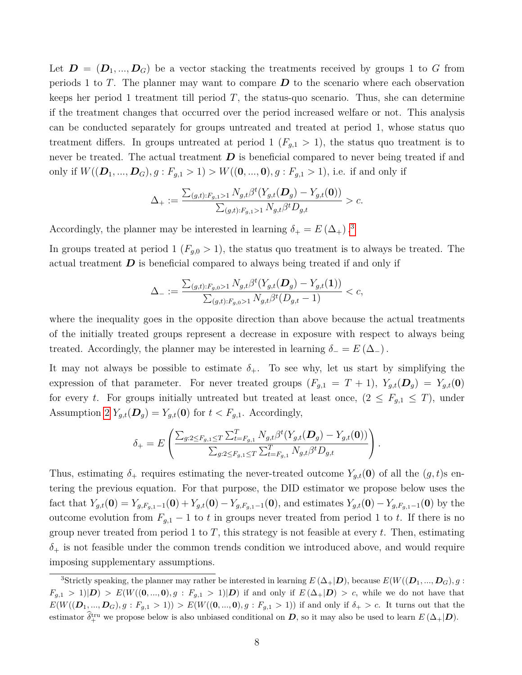Let  $\mathbf{D} = (\mathbf{D}_1, ..., \mathbf{D}_G)$  be a vector stacking the treatments received by groups 1 to G from periods 1 to  $T$ . The planner may want to compare  $D$  to the scenario where each observation keeps her period 1 treatment till period *T*, the status-quo scenario. Thus, she can determine if the treatment changes that occurred over the period increased welfare or not. This analysis can be conducted separately for groups untreated and treated at period 1, whose status quo treatment differs. In groups untreated at period 1 ( $F_{g,1} > 1$ ), the status quo treatment is to never be treated. The actual treatment  $D$  is beneficial compared to never being treated if and only if  $W((D_1, ..., D_G), g : F_{g,1} > 1) > W((0, ..., 0), g : F_{g,1} > 1)$ , i.e. if and only if

$$
\Delta_{+} := \frac{\sum_{(g,t):F_{g,1}>1} N_{g,t} \beta^{t} (Y_{g,t}(\mathbf{D}_g) - Y_{g,t}(0))}{\sum_{(g,t):F_{g,1}>1} N_{g,t} \beta^{t} D_{g,t}} > c.
$$

Accordingly, the planner may be interested in learning  $\delta_+ = E(\Delta_+)$ .<sup>[3](#page-7-0)</sup>

In groups treated at period 1 ( $F_{g,0} > 1$ ), the status quo treatment is to always be treated. The actual treatment  $\bm{D}$  is beneficial compared to always being treated if and only if

$$
\Delta_{-}:=\frac{\sum_{(g,t):F_{g,0}>1}N_{g,t}\beta^{t}(Y_{g,t}(\boldsymbol{D}_g)-Y_{g,t}(1))}{\sum_{(g,t):F_{g,0}>1}N_{g,t}\beta^{t}(D_{g,t}-1)}
$$

where the inequality goes in the opposite direction than above because the actual treatments of the initially treated groups represent a decrease in exposure with respect to always being treated. Accordingly, the planner may be interested in learning  $\delta_-=E(\Delta_-)$ .

It may not always be possible to estimate  $\delta_+$ . To see why, let us start by simplifying the expression of that parameter. For never treated groups  $(F_{g,1} = T + 1)$ ,  $Y_{g,t}(\mathbf{D}_g) = Y_{g,t}(\mathbf{0})$ for every *t*. For groups initially untreated but treated at least once,  $(2 \leq F_{q,1} \leq T)$ , under Assumption [2](#page-4-2)  $Y_{g,t}(\mathbf{D}_g) = Y_{g,t}(\mathbf{0})$  for  $t < F_{g,1}$ . Accordingly,

$$
\delta_{+} = E\left(\frac{\sum_{g:2 \leq F_{g,1} \leq T} \sum_{t=F_{g,1}}^{T} N_{g,t} \beta^{t} (Y_{g,t}(\mathbf{D}_g) - Y_{g,t}(\mathbf{0}))}{\sum_{g:2 \leq F_{g,1} \leq T} \sum_{t=F_{g,1}}^{T} N_{g,t} \beta^{t} D_{g,t}}\right).
$$

Thus, estimating  $\delta_+$  requires estimating the never-treated outcome  $Y_{q,t}(\mathbf{0})$  of all the  $(g, t)$ s entering the previous equation. For that purpose, the DID estimator we propose below uses the fact that  $Y_{g,t}(0) = Y_{g,F_{g,1}-1}(0) + Y_{g,t}(0) - Y_{g,F_{g,1}-1}(0)$ , and estimates  $Y_{g,t}(0) - Y_{g,F_{g,1}-1}(0)$  by the outcome evolution from  $F_{g,1} - 1$  to *t* in groups never treated from period 1 to *t*. If there is no group never treated from period 1 to *T*, this strategy is not feasible at every *t*. Then, estimating  $\delta_+$  is not feasible under the common trends condition we introduced above, and would require imposing supplementary assumptions.

<span id="page-7-0"></span> $\frac{3}{3}$ Strictly speaking, the planner may rather be interested in learning  $E(\Delta_+|\mathbf{D})$ , because  $E(W((\mathbf{D}_1, ..., \mathbf{D}_G), g :$  $F_{g,1} > 1$ |D) >  $E(W((0, ..., 0), g : F_{g,1} > 1)|D)$  if and only if  $E(\Delta_+|D) > c$ , while we do not have that  $E(W((\mathbf{D}_1, ..., \mathbf{D}_G), g : F_{g,1} > 1)) > E(W((0, ..., 0), g : F_{g,1} > 1))$  if and only if  $\delta_+ > c$ . It turns out that the estimator  $\hat{\delta}^{\text{true}}_+$  we propose below is also unbiased conditional on  $D$ , so it may also be used to learn  $E(\Delta_+|D)$ .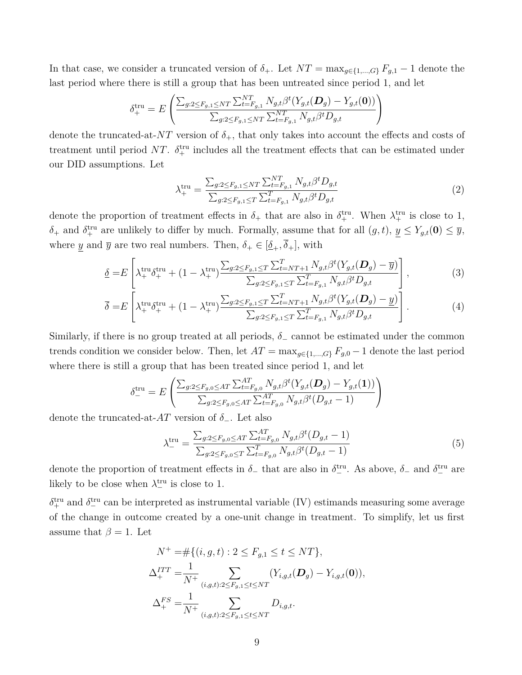In that case, we consider a truncated version of  $\delta_+$ . Let  $NT = \max_{g \in \{1, ..., G\}} F_{g,1} - 1$  denote the last period where there is still a group that has been untreated since period 1, and let

$$
\delta_{+}^{\text{tru}} = E\left(\frac{\sum_{g:2 \leq F_{g,1} \leq NT} \sum_{t=F_{g,1}}^{NT} N_{g,t} \beta^{t} (Y_{g,t}(\boldsymbol{D}_{g}) - Y_{g,t}(\boldsymbol{0}))}{\sum_{g:2 \leq F_{g,1} \leq NT} \sum_{t=F_{g,1}}^{NT} N_{g,t} \beta^{t} D_{g,t}}\right)
$$

denote the truncated-at- $NT$  version of  $\delta_+$ , that only takes into account the effects and costs of treatment until period  $NT$ .  $\delta_{+}^{\text{tru}}$  includes all the treatment effects that can be estimated under our DID assumptions. Let

<span id="page-8-1"></span><span id="page-8-0"></span>
$$
\lambda_{+}^{\text{tru}} = \frac{\sum_{g:2 \leq F_{g,1} \leq NT} \sum_{t=F_{g,1}}^{NT} N_{g,t} \beta^{t} D_{g,t}}{\sum_{g:2 \leq F_{g,1} \leq T} \sum_{t=F_{g,1}}^{T} N_{g,t} \beta^{t} D_{g,t}}
$$
(2)

denote the proportion of treatment effects in  $\delta_+$  that are also in  $\delta_+^{\text{tru}}$ . When  $\lambda_+^{\text{tru}}$  is close to 1,  $\delta$ <sup>+</sup> and  $\delta$ <sup>tru</sup></sub> are unlikely to differ by much. Formally, assume that for all  $(g, t)$ ,  $\underline{y} \leq Y_{g,t}(\mathbf{0}) \leq \overline{y}$ , where *y* and  $\overline{y}$  are two real numbers. Then,  $\delta_+ \in [\underline{\delta}_+, \delta_+]$ , with

$$
\underline{\delta} = E \left[ \lambda_{+}^{\text{true}} \delta_{+}^{\text{true}} + (1 - \lambda_{+}^{\text{true}}) \frac{\sum_{g:2 \leq F_{g,1} \leq T} \sum_{t=N}^{T} N_{g,t} \beta^{t} (Y_{g,t}(\mathbf{D}_g) - \overline{y})}{\sum_{g:2 \leq F_{g,1} \leq T} \sum_{t=F_{g,1}}^{T} N_{g,t} \beta^{t} D_{g,t}} \right], \tag{3}
$$

$$
\overline{\delta} = E \left[ \lambda_+^{\text{tru}} \delta_+^{\text{tru}} + (1 - \lambda_+^{\text{tru}}) \frac{\sum_{g:2 \leq F_{g,1} \leq T} \sum_{t=N+1}^T N_{g,t} \beta^t (Y_{g,t}(\mathbf{D}_g) - \underline{y})}{\sum_{g:2 \leq F_{g,1} \leq T} \sum_{t=F_{g,1}}^T N_{g,t} \beta^t D_{g,t}} \right]. \tag{4}
$$

Similarly, if there is no group treated at all periods,  $\delta$ <sub>−</sub> cannot be estimated under the common trends condition we consider below. Then, let  $AT = \max_{g \in \{1,\dots,G\}} F_{g,0} - 1$  denote the last period where there is still a group that has been treated since period 1, and let

$$
\delta_{-}^{\text{tru}} = E\left(\frac{\sum_{g:2 \leq F_{g,0} \leq AT} \sum_{t=F_{g,0}}^{AT} N_{g,t} \beta^{t} (Y_{g,t}(\boldsymbol{D}_{g}) - Y_{g,t}(1))}{\sum_{g:2 \leq F_{g,0} \leq AT} \sum_{t=F_{g,0}}^{AT} N_{g,t} \beta^{t} (D_{g,t} - 1)}\right)
$$

denote the truncated-at-*AT* version of *δ*−. Let also

$$
\lambda_{-}^{\text{tru}} = \frac{\sum_{g:2 \leq F_{g,0} \leq AT} \sum_{t=F_{g,0}}^{AT} N_{g,t} \beta^{t} (D_{g,t} - 1)}{\sum_{g:2 \leq F_{g,0} \leq T} \sum_{t=F_{g,0}}^{T} N_{g,t} \beta^{t} (D_{g,t} - 1)}
$$
(5)

denote the proportion of treatment effects in  $\delta$ <sub>−</sub> that are also in  $\delta$ <sup>tru</sup>. As above,  $\delta$ <sub>−</sub> and  $\delta$ <sup>tru</sup> are likely to be close when  $\lambda_{-}^{\text{tru}}$  is close to 1.

 $\delta_{+}^{\text{tru}}$  and  $\delta_{-}^{\text{tru}}$  can be interpreted as instrumental variable (IV) estimands measuring some average of the change in outcome created by a one-unit change in treatment. To simplify, let us first assume that  $\beta = 1$ . Let

$$
N^{+} = \# \{ (i, g, t) : 2 \le F_{g,1} \le t \le NT \},
$$
  
\n
$$
\Delta_{+}^{ITT} = \frac{1}{N^{+}} \sum_{(i, g, t): 2 \le F_{g,1} \le t \le NT} (Y_{i,g,t}(\mathbf{D}_{g}) - Y_{i,g,t}(\mathbf{0})),
$$
  
\n
$$
\Delta_{+}^{FS} = \frac{1}{N^{+}} \sum_{(i, g, t): 2 \le F_{g,1} \le t \le NT} D_{i,g,t}.
$$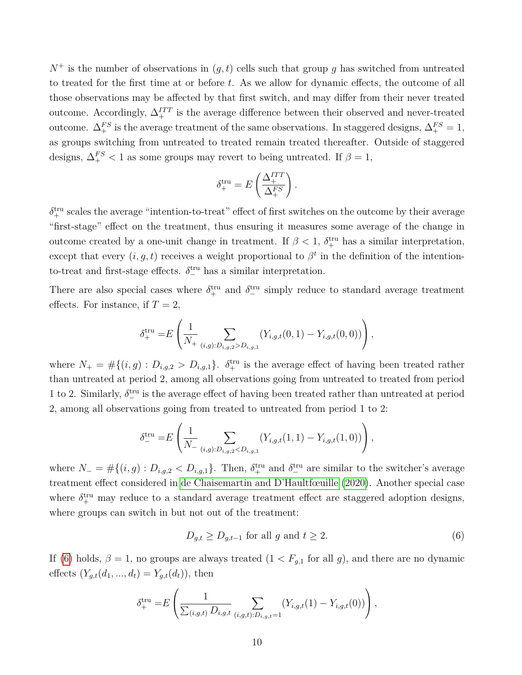$N^+$  is the number of observations in  $(q, t)$  cells such that group *g* has switched from untreated to treated for the first time at or before *t*. As we allow for dynamic effects, the outcome of all those observations may be affected by that first switch, and may differ from their never treated outcome. Accordingly,  $\Delta_+^{ITT}$  is the average difference between their observed and never-treated outcome.  $\Delta_{+}^{FS}$  is the average treatment of the same observations. In staggered designs,  $\Delta_{+}^{FS} = 1$ , as groups switching from untreated to treated remain treated thereafter. Outside of staggered designs,  $\Delta_{+}^{FS}$  < 1 as some groups may revert to being untreated. If  $\beta = 1$ ,

$$
\delta^{\text{tru}}_{+} = E\left(\frac{\Delta_+^{ITT}}{\Delta_+^{FS}}\right).
$$

 $\delta_{+}^{\text{tru}}$  scales the average "intention-to-treat" effect of first switches on the outcome by their average "first-stage" effect on the treatment, thus ensuring it measures some average of the change in outcome created by a one-unit change in treatment. If  $\beta < 1$ ,  $\delta_{+}^{\text{tru}}$  has a similar interpretation, except that every  $(i, g, t)$  receives a weight proportional to  $\beta^t$  in the definition of the intentionto-treat and first-stage effects.  $\delta^{\text{tru}}_{-}$  has a similar interpretation.

There are also special cases where  $\delta_{+}^{\text{tru}}$  and  $\delta_{-}^{\text{tru}}$  simply reduce to standard average treatment effects. For instance, if  $T = 2$ ,

$$
\delta^{\text{tru}}_{+} = E\left(\frac{1}{N_{+}} \sum_{(i,g):D_{i,g,2} > D_{i,g,1}} (Y_{i,g,t}(0,1) - Y_{i,g,t}(0,0))\right),
$$

where  $N_+ = #\{(i, g): D_{i,g,2} > D_{i,g,1}\}.$   $\delta_+^{\text{tru}}$  is the average effect of having been treated rather than untreated at period 2, among all observations going from untreated to treated from period 1 to 2. Similarly,  $\delta^{\text{tru}}_{-}$  is the average effect of having been treated rather than untreated at period 2, among all observations going from treated to untreated from period 1 to 2:

$$
\delta_-^{\text{tru}} = E\left(\frac{1}{N_-} \sum_{(i,g):D_{i,g,2} < D_{i,g,1}} (Y_{i,g,t}(1,1) - Y_{i,g,t}(1,0))\right),
$$

where  $N_-=\#\{(i,g): D_{i,g,2} < D_{i,g,1}\}.$  Then,  $\delta_+^{\text{tru}}$  and  $\delta_-^{\text{tru}}$  are similar to the switcher's average treatment effect considered in [de Chaisemartin and D'Haultfœuille](#page-20-1) [\(2020\)](#page-20-1). Another special case where  $\delta_{+}^{\text{tru}}$  may reduce to a standard average treatment effect are staggered adoption designs, where groups can switch in but not out of the treatment:

<span id="page-9-0"></span>
$$
D_{g,t} \ge D_{g,t-1} \text{ for all } g \text{ and } t \ge 2. \tag{6}
$$

If [\(6\)](#page-9-0) holds,  $\beta = 1$ , no groups are always treated  $(1 < F_{g,1}$  for all g), and there are no dynamic effects  $(Y_{g,t}(d_1, ..., d_t) = Y_{g,t}(d_t))$ , then

$$
\delta_{+}^{\text{tru}} = E\left(\frac{1}{\sum_{(i,g,t)} D_{i,g,t}} \sum_{(i,g,t): D_{i,g,t}=1} (Y_{i,g,t}(1) - Y_{i,g,t}(0))\right),
$$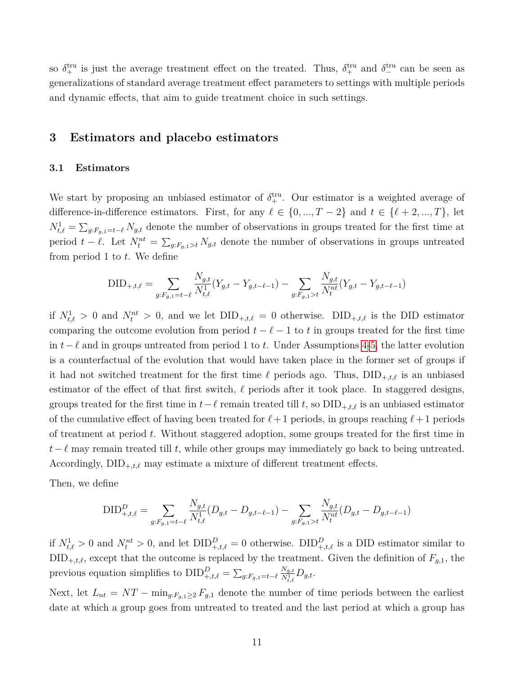so  $\delta_{+}^{\text{tru}}$  is just the average treatment effect on the treated. Thus,  $\delta_{+}^{\text{tru}}$  and  $\delta_{-}^{\text{tru}}$  can be seen as generalizations of standard average treatment effect parameters to settings with multiple periods and dynamic effects, that aim to guide treatment choice in such settings.

# **3 Estimators and placebo estimators**

#### **3.1 Estimators**

We start by proposing an unbiased estimator of  $\delta_{+}^{\text{tru}}$ . Our estimator is a weighted average of difference-in-difference estimators. First, for any  $\ell \in \{0, ..., T-2\}$  and  $t \in \{\ell+2, ..., T\}$ , let  $N_{t,\ell}^1 = \sum_{g:F_{g,1}=t-\ell} N_{g,t}$  denote the number of observations in groups treated for the first time at period  $t - \ell$ . Let  $N_t^{nt} = \sum_{g: F_{g,1} > t} N_{g,t}$  denote the number of observations in groups untreated from period 1 to *t*. We define

$$
DID_{+,t,\ell} = \sum_{g:F_{g,1}=t-\ell} \frac{N_{g,t}}{N_{t,\ell}^1} (Y_{g,t} - Y_{g,t-\ell-1}) - \sum_{g:F_{g,1}>t} \frac{N_{g,t}}{N_t^{nt}} (Y_{g,t} - Y_{g,t-\ell-1})
$$

if  $N_{t,\ell}^1 > 0$  and  $N_t^{nt} > 0$ , and we let  $DID_{+,t,\ell} = 0$  otherwise.  $DID_{+,t,\ell}$  is the DID estimator comparing the outcome evolution from period  $t - \ell - 1$  to  $t$  in groups treated for the first time in  $t-\ell$  and in groups untreated from period 1 to *t*. Under Assumptions [4-](#page-5-0)[5,](#page-6-1) the latter evolution is a counterfactual of the evolution that would have taken place in the former set of groups if it had not switched treatment for the first time  $\ell$  periods ago. Thus,  $DID_{+,t,\ell}$  is an unbiased estimator of the effect of that first switch,  $\ell$  periods after it took place. In staggered designs, groups treated for the first time in  $t-\ell$  remain treated till  $t$ , so  $DID_{+,t,\ell}$  is an unbiased estimator of the cumulative effect of having been treated for  $\ell + 1$  periods, in groups reaching  $\ell + 1$  periods of treatment at period *t*. Without staggered adoption, some groups treated for the first time in  $t - \ell$  may remain treated till *t*, while other groups may immediately go back to being untreated. Accordingly,  $DID_{+,t,\ell}$  may estimate a mixture of different treatment effects.

Then, we define

$$
\text{DID}_{+,t,\ell}^D = \sum_{g:F_{g,1}=t-\ell} \frac{N_{g,t}}{N_{t,\ell}^1} (D_{g,t} - D_{g,t-\ell-1}) - \sum_{g:F_{g,1}>t} \frac{N_{g,t}}{N_t^{nt}} (D_{g,t} - D_{g,t-\ell-1})
$$

if  $N_{t,\ell}^1 > 0$  and  $N_t^{nt} > 0$ , and let  $DID_{+,t,\ell}^D = 0$  otherwise.  $DID_{+,t,\ell}^D$  is a DID estimator similar to  $DID_{+,t,\ell}$ , except that the outcome is replaced by the treatment. Given the definition of  $F_{g,1}$ , the previous equation simplifies to  $DID_{+,t,\ell}^D = \sum_{g:F_{g,1}=t-\ell}$ *Ng,t*  $\frac{N_{g,t}}{N_{t,\ell}^1}D_{g,t}.$ 

Next, let  $L_{nt} = NT - \min_{g: F_{g,1} \geq 2} F_{g,1}$  denote the number of time periods between the earliest date at which a group goes from untreated to treated and the last period at which a group has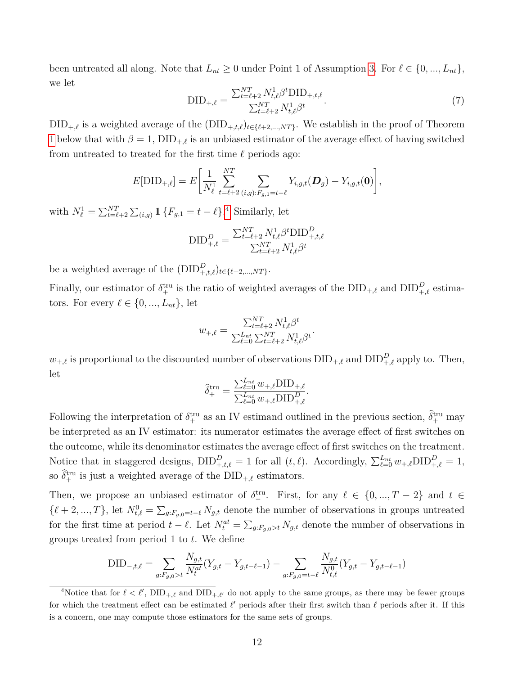been untreated all along. Note that  $L_{nt} \geq 0$  under Point 1 of Assumption [3.](#page-5-1) For  $\ell \in \{0, ..., L_{nt}\},$ we let

$$
DID_{+, \ell} = \frac{\sum_{t=\ell+2}^{NT} N_{t,\ell}^1 \beta^t DID_{+,t,\ell}}{\sum_{t=\ell+2}^{NT} N_{t,\ell}^1 \beta^t}.
$$
\n(7)

 $DID_{+, \ell}$  is a weighted average of the  $(DID_{+, t, \ell})_{t \in \{\ell+2, ..., NT\}}$ . We establish in the proof of Theorem [1](#page-12-0) below that with  $\beta = 1$ ,  $DID_{+, \ell}$  is an unbiased estimator of the average effect of having switched from untreated to treated for the first time  $\ell$  periods ago:

$$
E[\text{DID}_{+, \ell}] = E\bigg[\frac{1}{N_{\ell}^1} \sum_{t=\ell+2}^{NT} \sum_{(i,g): F_{g,1}=t-\ell} Y_{i,g,t}(\mathbf{D}_g) - Y_{i,g,t}(\mathbf{0})\bigg],
$$

with  $N_{\ell}^1 = \sum_{t=\ell+2}^{NT} \sum_{(i,g)} \mathbb{1} \{ F_{g,1} = t - \ell \}$ .<sup>[4](#page-11-0)</sup> Similarly, let

$$
DID_{+,\ell}^D = \frac{\sum_{t=\ell+2}^{NT} N_{t,\ell}^1 \beta^t DID_{+,t,\ell}^D}{\sum_{t=\ell+2}^{NT} N_{t,\ell}^1 \beta^t}
$$

be a weighted average of the  $(DID_{+,t,\ell}^D)_{t \in \{\ell+2,\ldots,NT\}}$ .

Finally, our estimator of  $\delta_+^{\text{tru}}$  is the ratio of weighted averages of the  $\text{DID}_{+,\ell}$  and  $\text{DID}_{+,\ell}^D$  estimators. For every  $\ell \in \{0, ..., L_{nt}\}$ , let

$$
w_{+,\ell} = \frac{\sum_{t=\ell+2}^{NT} N_{t,\ell}^1 \beta^t}{\sum_{\ell=0}^{L_{nt}} \sum_{t=\ell+2}^{NT} N_{t,\ell}^1 \beta^t}.
$$

 $w_{+,\ell}$  is proportional to the discounted number of observations  $DID_{+,\ell}$  and  $DID_{+,\ell}^D$  apply to. Then, let

$$
\hat{\delta}_{+}^{\text{tru}} = \frac{\sum_{\ell=0}^{L_{nt}} w_{+,\ell} \text{DID}_{+,\ell}}{\sum_{\ell=0}^{L_{nt}} w_{+,\ell} \text{DID}_{+,\ell}^D}.
$$

Following the interpretation of  $\delta_+^{\text{tru}}$  as an IV estimand outlined in the previous section,  $\hat{\delta}_+^{\text{tru}}$  may be interpreted as an IV estimator: its numerator estimates the average effect of first switches on the outcome, while its denominator estimates the average effect of first switches on the treatment. Notice that in staggered designs,  $DID_{+,t,\ell}^D = 1$  for all  $(t, \ell)$ . Accordingly,  $\sum_{\ell=0}^{L_{nt}} w_{+, \ell} DID_{+, \ell}^D = 1$ , so  $\hat{\delta}^{\text{tru}}_{+}$  is just a weighted average of the  $\text{DID}_{+,\ell}$  estimators.

Then, we propose an unbiased estimator of  $\delta^{\text{tru}}_$ . First, for any  $\ell \in \{0, ..., T-2\}$  and  $t \in$  $\{\ell + 2, ..., T\}$ , let  $N_{t,\ell}^0 = \sum_{g:F_g,0=t-\ell} N_{g,t}$  denote the number of observations in groups untreated for the first time at period  $t - \ell$ . Let  $N_t^{at} = \sum_{g: F_g, 0 \ge t} N_{g,t}$  denote the number of observations in groups treated from period 1 to *t*. We define

$$
DID_{-,t,\ell} = \sum_{g:F_{g,0} > t} \frac{N_{g,t}}{N_t^{at}} (Y_{g,t} - Y_{g,t-\ell-1}) - \sum_{g:F_{g,0} = t-\ell} \frac{N_{g,t}}{N_{t,\ell}^0} (Y_{g,t} - Y_{g,t-\ell-1})
$$

<span id="page-11-0"></span><sup>&</sup>lt;sup>4</sup>Notice that for  $\ell < \ell'$ ,  $\text{DID}_{+, \ell}$  and  $\text{DID}_{+, \ell'}$  do not apply to the same groups, as there may be fewer groups for which the treatment effect can be estimated  $\ell'$  periods after their first switch than  $\ell$  periods after it. If this is a concern, one may compute those estimators for the same sets of groups.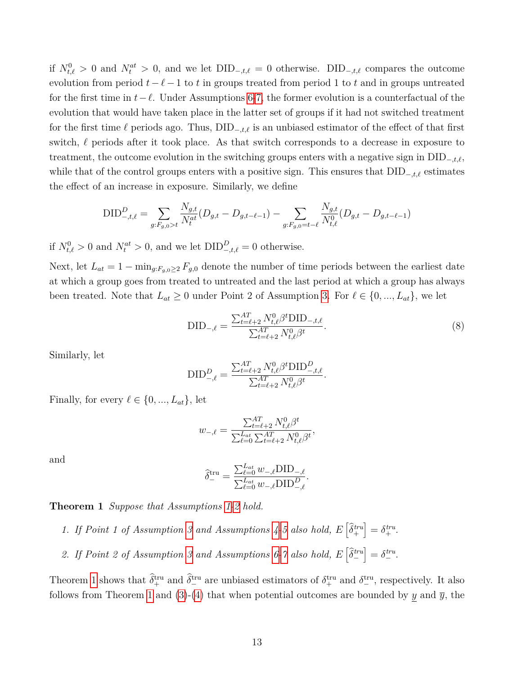if  $N_{t,\ell}^0 > 0$  and  $N_t^{at} > 0$ , and we let  $DID_{-,t,\ell} = 0$  otherwise.  $DID_{-,t,\ell}$  compares the outcome evolution from period  $t - \ell - 1$  to *t* in groups treated from period 1 to *t* and in groups untreated for the first time in  $t-\ell$ . Under Assumptions [6-](#page-6-0)[7,](#page-6-2) the former evolution is a counterfactual of the evolution that would have taken place in the latter set of groups if it had not switched treatment for the first time  $\ell$  periods ago. Thus,  $DID_{-,t,\ell}$  is an unbiased estimator of the effect of that first switch,  $\ell$  periods after it took place. As that switch corresponds to a decrease in exposure to treatment, the outcome evolution in the switching groups enters with a negative sign in  $DID_{-,t,\ell}$ , while that of the control groups enters with a positive sign. This ensures that  $DID_{-,t,\ell}$  estimates the effect of an increase in exposure. Similarly, we define

$$
DID_{-,t,\ell}^D = \sum_{g:F_{g,0} > t} \frac{N_{g,t}}{N_t^{at}} (D_{g,t} - D_{g,t-\ell-1}) - \sum_{g:F_{g,0} = t-\ell} \frac{N_{g,t}}{N_{t,\ell}^0} (D_{g,t} - D_{g,t-\ell-1})
$$

if  $N_{t,\ell}^0 > 0$  and  $N_t^{at} > 0$ , and we let  $DID_{-,t,\ell}^D = 0$  otherwise.

Next, let  $L_{at} = 1 - \min_{g: F_g, 0 \ge 2} F_{g,0}$  denote the number of time periods between the earliest date at which a group goes from treated to untreated and the last period at which a group has always been treated. Note that  $L_{at} \geq 0$  under Point 2 of Assumption [3.](#page-5-1) For  $\ell \in \{0, ..., L_{at}\}$ , we let

$$
DID_{-, \ell} = \frac{\sum_{t=\ell+2}^{AT} N_{t,\ell}^0 \beta^t DID_{-,t,\ell}}{\sum_{t=\ell+2}^{AT} N_{t,\ell}^0 \beta^t}.
$$
\n(8)

*.*

*,*

Similarly, let

$$
DID_{-, \ell}^{D} = \frac{\sum_{t=\ell+2}^{AT} N_{t,\ell}^{0} \beta^{t} DID_{-,t,\ell}^{D}}{\sum_{t=\ell+2}^{AT} N_{t,\ell}^{0} \beta^{t}}
$$

Finally, for every  $\ell \in \{0, ..., L_{at}\}$ , let

$$
w_{-,\ell} = \frac{\sum_{t=\ell+2}^{AT} N_{t,\ell}^0 \beta^t}{\sum_{\ell=0}^{L_{at}} \sum_{t=\ell+2}^{AT} N_{t,\ell}^0 \beta^t}
$$

and

$$
\hat{\delta}^{\text{tru}}_{-} = \frac{\sum_{\ell=0}^{L_{at}} w_{-,\ell} \text{DID}_{-,\ell}}{\sum_{\ell=0}^{L_{at}} w_{-,\ell} \text{DID}_{-,\ell}^D}.
$$

<span id="page-12-0"></span>**Theorem 1** *Suppose that Assumptions [1](#page-4-1)[-2](#page-4-2) hold.*

- *1. If* Point 1 of Assumption [3](#page-5-1) and Assumptions [4-](#page-5-0)[5](#page-6-1) also hold,  $E\left[\hat{\delta}_+^{tru}\right] = \delta_+^{tru}$ .
- *2. If* Point 2 of Assumption [3](#page-5-1) and Assumptions [6-](#page-6-0)[7](#page-6-2) also hold,  $E\left[\hat{\delta}^{tru}_{-}\right] = \delta^{tru}_{-}$ .

Theorem [1](#page-12-0) shows that  $\hat{\delta}^{\text{tru}}_+$  and  $\hat{\delta}^{\text{tru}}_-$  are unbiased estimators of  $\delta^{ \text{tru}}_+$  and  $\delta^{ \text{tru}}_-$ , respectively. It also follows from Theorem [1](#page-12-0) and [\(3\)](#page-8-0)-[\(4\)](#page-8-1) that when potential outcomes are bounded by *y* and  $\overline{y}$ , the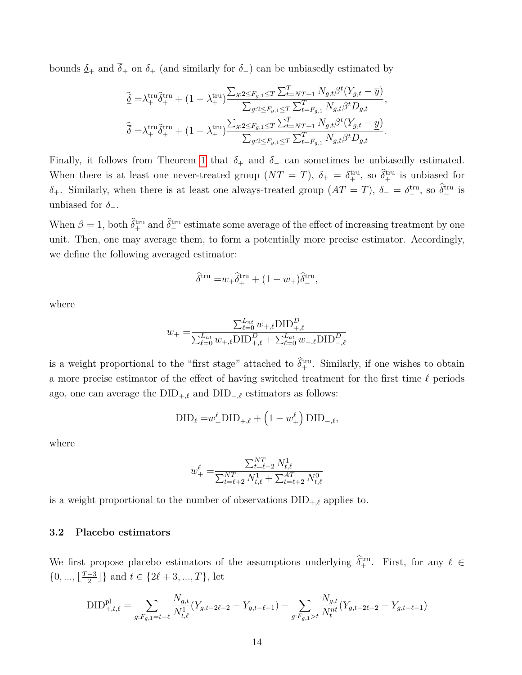bounds  $\delta_+$  and  $\overline{\delta}_+$  on  $\delta_+$  (and similarly for  $\delta_-$ ) can be unbiasedly estimated by

$$
\hat{\underline{\delta}} = \lambda_+^{\text{tru}} \hat{\delta}_+^{\text{tru}} + (1 - \lambda_+^{\text{tru}}) \frac{\sum_{g:2 \leq F_{g,1} \leq T} \sum_{t=N+1}^T N_{g,t} \beta^t (Y_{g,t} - \overline{y})}{\sum_{g:2 \leq F_{g,1} \leq T} \sum_{t=F_{g,1}}^T N_{g,t} \beta^t D_{g,t}},
$$
  

$$
\hat{\overline{\delta}} = \lambda_+^{\text{tru}} \hat{\delta}_+^{\text{tru}} + (1 - \lambda_+^{\text{tru}}) \frac{\sum_{g:2 \leq F_{g,1} \leq T} \sum_{t=N+1}^T N_{g,t} \beta^t (Y_{g,t} - \underline{y})}{\sum_{g:2 \leq F_{g,1} \leq T} \sum_{t=F_{g,1}}^T N_{g,t} \beta^t D_{g,t}}.
$$

Finally, it follows from Theorem [1](#page-12-0) that  $\delta_+$  and  $\delta_-$  can sometimes be unbiasedly estimated. When there is at least one never-treated group  $(NT = T)$ ,  $\delta_+ = \delta_+^{\text{tru}}$ , so  $\hat{\delta}_+^{\text{tru}}$  is unbiased for *δ*<sub>+</sub>. Similarly, when there is at least one always-treated group  $(AT = T)$ ,  $δ$ <sub>−</sub> =  $δ$ <sup>tru</sup></sup>, so  $δ$ <sup>tru</sup><sup>i</sup> is unbiased for  $\delta$ <sub>−</sub>.

When  $\beta = 1$ , both  $\hat{\delta}^{\text{true}}_+$  and  $\hat{\delta}^{\text{true}}_-$  estimate some average of the effect of increasing treatment by one unit. Then, one may average them, to form a potentially more precise estimator. Accordingly, we define the following averaged estimator:

$$
\widehat{\delta}^{\text{tru}} = w_+ \widehat{\delta}_+^{\text{tru}} + (1 - w_+) \widehat{\delta}_-^{\text{tru}},
$$

where

$$
w_+ = \frac{\sum_{\ell=0}^{L_{nt}} w_{+,\ell} \text{DID}_{+,\ell}^D}{\sum_{\ell=0}^{L_{nt}} w_{+,\ell} \text{DID}_{+,\ell}^D + \sum_{\ell=0}^{L_{at}} w_{-,\ell} \text{DID}_{-,\ell}^D}
$$

is a weight proportional to the "first stage" attached to  $\hat{\delta}^{\text{tru}}_+$ . Similarly, if one wishes to obtain a more precise estimator of the effect of having switched treatment for the first time  $\ell$  periods ago, one can average the  $DID_{+,\ell}$  and  $DID_{-,\ell}$  estimators as follows:

$$
\text{DID}_{\ell} = w_{+}^{\ell} \text{DID}_{+,\ell} + \left(1 - w_{+}^{\ell}\right) \text{DID}_{-,\ell},
$$

where

$$
w_{+}^{\ell} = \frac{\sum_{t=\ell+2}^{NT} N_{t,\ell}^1}{\sum_{t=\ell+2}^{NT} N_{t,\ell}^1 + \sum_{t=\ell+2}^{AT} N_{t,\ell}^0}
$$

is a weight proportional to the number of observations  $DID_{+, \ell}$  applies to.

#### **3.2 Placebo estimators**

We first propose placebo estimators of the assumptions underlying  $\delta_{+}^{\text{tru}}$ . First, for any  $\ell \in$  $\{0, ..., \lfloor \frac{T-3}{2} \rfloor\}$  $\left\{\frac{-3}{2}\right\}$  and  $t \in \{2\ell + 3, ..., T\}$ , let

$$
\text{DID}_{+,t,\ell}^{\text{pl}} = \sum_{g:F_{g,1}=t-\ell} \frac{N_{g,t}}{N_{t,\ell}^1} (Y_{g,t-2\ell-2} - Y_{g,t-\ell-1}) - \sum_{g:F_{g,1}>t} \frac{N_{g,t}}{N_t^{nt}} (Y_{g,t-2\ell-2} - Y_{g,t-\ell-1})
$$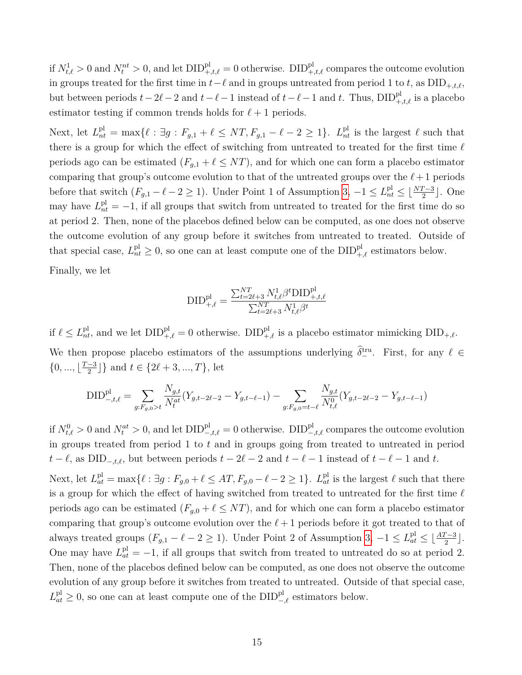if  $N_{t,\ell}^1 > 0$  and  $N_t^{nt} > 0$ , and let  $\text{DID}_{+,t,\ell}^{\text{pl}} = 0$  otherwise.  $\text{DID}_{+,t,\ell}^{\text{pl}}$  compares the outcome evolution in groups treated for the first time in  $t-\ell$  and in groups untreated from period 1 to *t*, as DID<sub>+*,t,* $\ell$ ,</sub> but between periods  $t-2\ell-2$  and  $t-\ell-1$  instead of  $t-\ell-1$  and  $t$ . Thus,  $\text{DID}^{\text{pl}}_{+,t,\ell}$  is a placebo estimator testing if common trends holds for  $\ell + 1$  periods.

Next, let  $L_{nt}^{\text{pl}} = \max\{\ell : \exists g : F_{g,1} + \ell \leq NT, F_{g,1} - \ell - 2 \geq 1\}$ .  $L_{nt}^{\text{pl}}$  is the largest  $\ell$  such that there is a group for which the effect of switching from untreated to treated for the first time  $\ell$ periods ago can be estimated  $(F_{g,1} + \ell \leq NT)$ , and for which one can form a placebo estimator comparing that group's outcome evolution to that of the untreated groups over the  $\ell + 1$  periods before that switch  $(F_{g,1} - \ell - 2 \ge 1)$ . Under Point 1 of Assumption [3,](#page-5-1)  $-1 \le L_{nt}^{\text{pl}} \le \lfloor \frac{NT-3}{2} \rfloor$ . One may have  $L_{nt}^{pl} = -1$ , if all groups that switch from untreated to treated for the first time do so at period 2. Then, none of the placebos defined below can be computed, as one does not observe the outcome evolution of any group before it switches from untreated to treated. Outside of that special case,  $L_{nt}^{\text{pl}} \geq 0$ , so one can at least compute one of the  $\text{DID}_{+, \ell}^{\text{pl}}$  estimators below.

Finally, we let

$$
\text{DID}_{+,\ell}^{\text{pl}} = \frac{\sum_{t=2\ell+3}^{NT} N_{t,\ell}^1 \beta^t \text{DID}_{+,t,\ell}^{\text{pl}}}{\sum_{t=2\ell+3}^{NT} N_{t,\ell}^1 \beta^t}
$$

if  $\ell \leq L_{nt}^{\text{pl}}$ , and we let  $\text{DID}_{+,\ell}^{\text{pl}} = 0$  otherwise.  $\text{DID}_{+,\ell}^{\text{pl}}$  is a placebo estimator mimicking  $\text{DID}_{+,\ell}$ . We then propose placebo estimators of the assumptions underlying  $\hat{\delta}^{\text{tru}}_{-}$ . First, for any  $\ell \in$  $\{0, ..., \lfloor \frac{T-3}{2} \rfloor\}$  $\left\{\frac{-3}{2}\right\}$  and  $t \in \{2\ell + 3, ..., T\}$ , let

$$
\text{DID}_{-,t,\ell}^{\text{pl}} = \sum_{g:F_{g,0} > t} \frac{N_{g,t}}{N_t^{at}} (Y_{g,t-2\ell-2} - Y_{g,t-\ell-1}) - \sum_{g:F_{g,0} = t-\ell} \frac{N_{g,t}}{N_{t,\ell}^0} (Y_{g,t-2\ell-2} - Y_{g,t-\ell-1})
$$

if  $N_{t,\ell}^0 > 0$  and  $N_t^{at} > 0$ , and let  $\text{DID}_{-,t,\ell}^{\text{pl}} = 0$  otherwise.  $\text{DID}_{-,t,\ell}^{\text{pl}}$  compares the outcome evolution in groups treated from period 1 to *t* and in groups going from treated to untreated in period *t* −  $\ell$ , as DID<sub>−*,t,* $\ell$ , but between periods  $t - 2\ell - 2$  and  $t - \ell - 1$  instead of  $t - \ell - 1$  and  $t$ .</sub>

Next, let  $L_{at}^{pl} = \max\{\ell : \exists g : F_{g,0} + \ell \leq AT, F_{g,0} - \ell - 2 \geq 1\}$ .  $L_{at}^{pl}$  is the largest  $\ell$  such that there is a group for which the effect of having switched from treated to untreated for the first time  $\ell$ periods ago can be estimated  $(F_{g,0} + \ell \leq NT)$ , and for which one can form a placebo estimator comparing that group's outcome evolution over the  $\ell + 1$  periods before it got treated to that of always treated groups  $(F_{g,1} - \ell - 2 \ge 1)$ . Under Point 2 of Assumption [3,](#page-5-1)  $-1 \le L_{at}^{pl} \le \lfloor \frac{AT-3}{2} \rfloor$ . One may have  $L_{at}^{pl} = -1$ , if all groups that switch from treated to untreated do so at period 2. Then, none of the placebos defined below can be computed, as one does not observe the outcome evolution of any group before it switches from treated to untreated. Outside of that special case,  $L_{at}^{pl} \geq 0$ , so one can at least compute one of the  $DID_{-, \ell}^{pl}$  estimators below.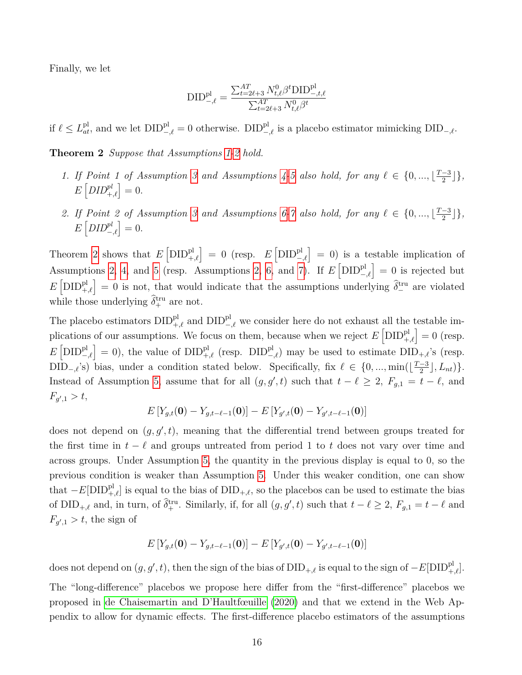Finally, we let

$$
\text{DID}_{-,\ell}^{\text{pl}} = \frac{\sum_{t=2\ell+3}^{AT} N_{t,\ell}^0 \beta^t \text{DID}_{-,t,\ell}^{\text{pl}}}{\sum_{t=2\ell+3}^{AT} N_{t,\ell}^0 \beta^t}
$$

<span id="page-15-0"></span>if  $\ell \leq L_{at}^{pl}$ , and we let  $\text{DID}_{-\ell}^{pl} = 0$  otherwise.  $\text{DID}_{-\ell}^{pl}$  is a placebo estimator mimicking  $\text{DID}_{-\ell}$ .

**Theorem 2** *Suppose that Assumptions [1](#page-4-1)[-2](#page-4-2) hold.*

- *1. If Point 1 of Assumption [3](#page-5-1) and Assumptions [4-](#page-5-0)[5](#page-6-1) also hold, for any*  $\ell \in \{0, ..., \lfloor \frac{T-3}{2} \rfloor\}$  $\frac{-3}{2}$ ],  $E[DID^{pl}_{+, \ell}] = 0.$
- 2. If Point 2 of Assumption [3](#page-5-1) and Assumptions [6-](#page-6-0)[7](#page-6-2) also hold, for any  $\ell \in \{0, ..., \lfloor \frac{T-3}{2} \rfloor\}$  $\frac{-3}{2}$ ] },  $E[DID^{pl}_{-,e}] = 0.$

Theorem [2](#page-15-0) shows that  $E\left[\text{DID}_{+,\ell}^{\text{pl}}\right] = 0$  (resp.  $E\left[\text{DID}_{-,\ell}^{\text{pl}}\right] = 0$ ) is a testable implication of Assumptions [2,](#page-4-2) [4,](#page-5-0) and [5](#page-6-1) (resp. Assumptions 2, [6,](#page-6-0) and [7\)](#page-6-2). If  $E\left[\text{DID}_{-,l}^{\text{pl}}\right] = 0$  is rejected but  $E\left[\text{DID}_{+,\ell}^{\text{pl}}\right] = 0$  is not, that would indicate that the assumptions underlying  $\hat{\delta}^{\text{tru}}_{-}$  are violated while those underlying  $\hat{\delta}_{+}^{\text{tru}}$  are not.

The placebo estimators  $\text{DID}_{+, \ell}^{\text{pl}}$  and  $\text{DID}_{-, \ell}^{\text{pl}}$  we consider here do not exhaust all the testable implications of our assumptions. We focus on them, because when we reject  $E\left[\text{DID}_{+,\ell}^{\text{pl}}\right] = 0$  (resp.  $E\left[\text{DID}_{-,\ell}^{\text{pl}}\right] = 0$ , the value of  $\text{DID}_{+,\ell}^{\text{pl}}$  (resp.  $\text{DID}_{-,\ell}^{\text{pl}}$ ) may be used to estimate  $\text{DID}_{+,\ell}$ 's (resp.  $DID_{-, \ell}$ 's) bias, under a condition stated below. Specifically, fix  $\ell \in \{0, ..., \min(\lfloor \frac{T-3}{2} \rfloor)\}$  $\frac{-3}{2}$ ,  $L_{nt}$ ). Instead of Assumption [5,](#page-6-1) assume that for all  $(g, g', t)$  such that  $t - \ell \geq 2$ ,  $F_{g,1} = t - \ell$ , and  $F_{g',1} > t$ ,

$$
E[Y_{g,t}(\mathbf{0}) - Y_{g,t-\ell-1}(\mathbf{0})] - E[Y_{g',t}(\mathbf{0}) - Y_{g',t-\ell-1}(\mathbf{0})]
$$

does not depend on  $(g, g', t)$ , meaning that the differential trend between groups treated for the first time in  $t - \ell$  and groups untreated from period 1 to *t* does not vary over time and across groups. Under Assumption [5,](#page-6-1) the quantity in the previous display is equal to 0, so the previous condition is weaker than Assumption [5.](#page-6-1) Under this weaker condition, one can show that  $-E[\text{DID}_{+,\ell}^{\text{pl}}]$  is equal to the bias of  $\text{DID}_{+,\ell}$ , so the placebos can be used to estimate the bias of  $\text{DID}_{+, \ell}$  and, in turn, of  $\hat{\delta}^{\text{tru}}_+$ . Similarly, if, for all  $(g, g', t)$  such that  $t - \ell \geq 2$ ,  $F_{g,1} = t - \ell$  and  $F_{g',1} > t$ , the sign of

$$
E[Y_{g,t}(\mathbf{0}) - Y_{g,t-\ell-1}(\mathbf{0})] - E[Y_{g',t}(\mathbf{0}) - Y_{g',t-\ell-1}(\mathbf{0})]
$$

does not depend on  $(g, g', t)$ , then the sign of the bias of  $\text{DID}_{+, \ell}$  is equal to the sign of  $-E[\text{DID}_{+, \ell}^{\text{pl}}]$ .

The "long-difference" placebos we propose here differ from the "first-difference" placebos we proposed in [de Chaisemartin and D'Haultfœuille](#page-20-1) [\(2020\)](#page-20-1) and that we extend in the Web Appendix to allow for dynamic effects. The first-difference placebo estimators of the assumptions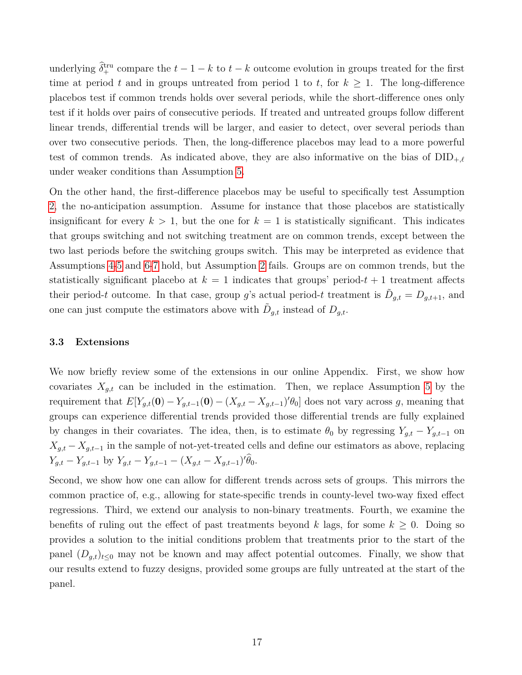underlying  $\hat{\delta}^{\text{tru}}_+$  compare the  $t-1-k$  to  $t-k$  outcome evolution in groups treated for the first time at period *t* and in groups untreated from period 1 to *t*, for  $k \geq 1$ . The long-difference placebos test if common trends holds over several periods, while the short-difference ones only test if it holds over pairs of consecutive periods. If treated and untreated groups follow different linear trends, differential trends will be larger, and easier to detect, over several periods than over two consecutive periods. Then, the long-difference placebos may lead to a more powerful test of common trends. As indicated above, they are also informative on the bias of  $DID_{+,\ell}$ under weaker conditions than Assumption [5.](#page-6-1)

On the other hand, the first-difference placebos may be useful to specifically test Assumption [2,](#page-4-2) the no-anticipation assumption. Assume for instance that those placebos are statistically insignificant for every  $k > 1$ , but the one for  $k = 1$  is statistically significant. This indicates that groups switching and not switching treatment are on common trends, except between the two last periods before the switching groups switch. This may be interpreted as evidence that Assumptions [4](#page-5-0)[-5](#page-6-1) and [6-](#page-6-0)[7](#page-6-2) hold, but Assumption [2](#page-4-2) fails. Groups are on common trends, but the statistically significant placebo at  $k = 1$  indicates that groups' period- $t + 1$  treatment affects their period-*t* outcome. In that case, group *g*'s actual period-*t* treatment is  $\tilde{D}_{g,t} = D_{g,t+1}$ , and one can just compute the estimators above with  $\tilde{D}_{g,t}$  instead of  $D_{g,t}$ .

#### **3.3 Extensions**

We now briefly review some of the extensions in our online Appendix. First, we show how covariates  $X_{g,t}$  can be included in the estimation. Then, we replace Assumption [5](#page-6-1) by the requirement that  $E[Y_{g,t}(\mathbf{0}) - Y_{g,t-1}(\mathbf{0}) - (X_{g,t} - X_{g,t-1})'\theta_0]$  does not vary across g, meaning that groups can experience differential trends provided those differential trends are fully explained by changes in their covariates. The idea, then, is to estimate  $\theta_0$  by regressing  $Y_{g,t} - Y_{g,t-1}$  on  $X_{g,t} - X_{g,t-1}$  in the sample of not-yet-treated cells and define our estimators as above, replacing  $Y_{g,t} - Y_{g,t-1}$  by  $Y_{g,t} - Y_{g,t-1} - (X_{g,t} - X_{g,t-1})'\hat{\theta}_0$ .

Second, we show how one can allow for different trends across sets of groups. This mirrors the common practice of, e.g., allowing for state-specific trends in county-level two-way fixed effect regressions. Third, we extend our analysis to non-binary treatments. Fourth, we examine the benefits of ruling out the effect of past treatments beyond *k* lags, for some  $k \geq 0$ . Doing so provides a solution to the initial conditions problem that treatments prior to the start of the panel  $(D_{g,t})_{t\leq0}$  may not be known and may affect potential outcomes. Finally, we show that our results extend to fuzzy designs, provided some groups are fully untreated at the start of the panel.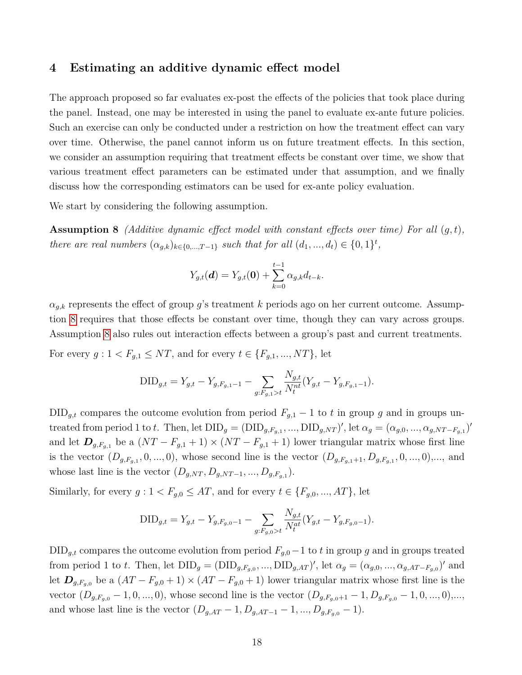## **4 Estimating an additive dynamic effect model**

The approach proposed so far evaluates ex-post the effects of the policies that took place during the panel. Instead, one may be interested in using the panel to evaluate ex-ante future policies. Such an exercise can only be conducted under a restriction on how the treatment effect can vary over time. Otherwise, the panel cannot inform us on future treatment effects. In this section, we consider an assumption requiring that treatment effects be constant over time, we show that various treatment effect parameters can be estimated under that assumption, and we finally discuss how the corresponding estimators can be used for ex-ante policy evaluation.

We start by considering the following assumption.

**Assumption 8** *(Additive dynamic effect model with constant effects over time) For all* (*g, t*)*, there are real numbers*  $(\alpha_{g,k})_{k \in \{0,\ldots,T-1\}}$  *such that for all*  $(d_1, ..., d_t) \in \{0,1\}^t$ ,

<span id="page-17-0"></span>
$$
Y_{g,t}(\boldsymbol{d}) = Y_{g,t}(\boldsymbol{0}) + \sum_{k=0}^{t-1} \alpha_{g,k} d_{t-k}.
$$

 $\alpha_{g,k}$  represents the effect of group *g*'s treatment *k* periods ago on her current outcome. Assumption [8](#page-17-0) requires that those effects be constant over time, though they can vary across groups. Assumption [8](#page-17-0) also rules out interaction effects between a group's past and current treatments.

For every *g* :  $1 < F_{g,1} \le NT$ , and for every  $t \in \{F_{g,1}, ..., NT\}$ , let

$$
\text{DID}_{g,t} = Y_{g,t} - Y_{g,F_{g,1}-1} - \sum_{g:F_{g,1}>t} \frac{N_{g,t}}{N_t^{nt}} (Y_{g,t} - Y_{g,F_{g,1}-1}).
$$

 $DID_{g,t}$  compares the outcome evolution from period  $F_{g,1} - 1$  to *t* in group *g* and in groups untreated from period 1 to *t*. Then, let  $DID_g = (DID_{g,F_g,1}, ..., DID_{g,NT})'$ , let  $\alpha_g = (\alpha_{g,0}, ..., \alpha_{g,NT-F_g,1})'$ and let  $D_{g,F_{g,1}}$  be a  $(NT - F_{g,1} + 1) \times (NT - F_{g,1} + 1)$  lower triangular matrix whose first line is the vector  $(D_{g,F_{g,1}}, 0, ..., 0)$ , whose second line is the vector  $(D_{g,F_{g,1}+1}, D_{g,F_{g,1}}, 0, ..., 0)$ ,..., and whose last line is the vector  $(D_{g,NT}, D_{g,NT-1}, ..., D_{g,F_{g,1}})$ .

Similarly, for every  $g: 1 < F_{g,0} \leq AT$ , and for every  $t \in \{F_{g,0},...,AT\}$ , let

<span id="page-17-1"></span>
$$
DID_{g,t} = Y_{g,t} - Y_{g,F_{g,0}-1} - \sum_{g:F_{g,0}>t} \frac{N_{g,t}}{N_t^{at}} (Y_{g,t} - Y_{g,F_{g,0}-1}).
$$

DID<sub>g,t</sub> compares the outcome evolution from period  $F_{g,0}$  – 1 to *t* in group *g* and in groups treated from period 1 to *t*. Then, let  $DID_g = (DID_{g,F_g,0},..., DID_{g,AT})'$ , let  $\alpha_g = (\alpha_{g,0},...,\alpha_{g,AT-F_g,0})'$  and let  $D_{g,F_{g,0}}$  be a  $(AT - F_{g,0} + 1) \times (AT - F_{g,0} + 1)$  lower triangular matrix whose first line is the vector  $(D_{g,F_{g,0}}-1,0,...,0)$ , whose second line is the vector  $(D_{g,F_{g,0}+1}-1, D_{g,F_{g,0}}-1,0,...,0)$ ,..., and whose last line is the vector  $(D_{g,AT} - 1, D_{g,AT-1} - 1, ..., D_{g,F_{g,0}} - 1)$ .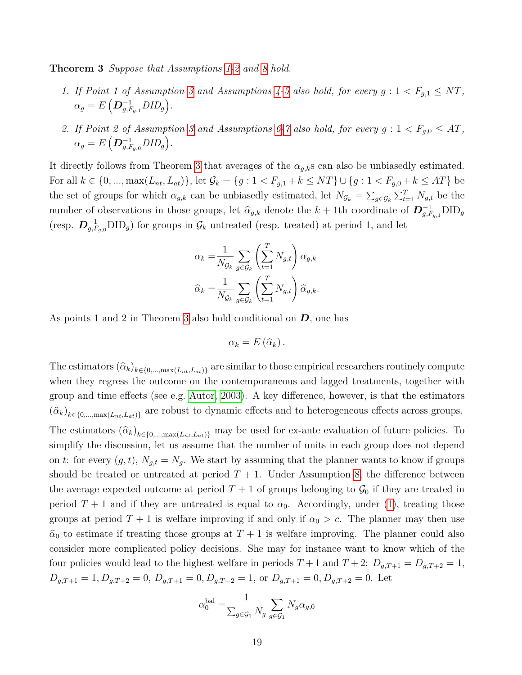**Theorem 3** *Suppose that Assumptions [1](#page-4-1)[-2](#page-4-2) and [8](#page-17-0) hold.*

- 1. If Point 1 of Assumption [3](#page-5-1) and Assumptions  $4\n-5$  $4\n-5$  also hold, for every  $g: 1 < F_{g,1} \le NT$ ,  $\alpha_g = E\left(\boldsymbol{D}^{-1}_{g, F_{g,1}} D I D_g\right)$ .
- 2. If Point 2 of Assumption [3](#page-5-1) and Assumptions [6-](#page-6-0)[7](#page-6-2) also hold, for every  $g: 1 < F_{g,0} \le AT$ ,  $\alpha_g = E\left(\boldsymbol{D}^{-1}_{g, F_{g,0}} D I D_g\right)$ .

It directly follows from Theorem [3](#page-17-1) that averages of the  $\alpha_{g,k}$ s can also be unbiasedly estimated. For all  $k \in \{0, ..., \max(L_{nt}, L_{at})\}$ , let  $\mathcal{G}_k = \{g : 1 < F_{g,1} + k \leq NT\} \cup \{g : 1 < F_{g,0} + k \leq AT\}$  be the set of groups for which  $\alpha_{g,k}$  can be unbiasedly estimated, let  $N_{\mathcal{G}_k} = \sum_{g \in \mathcal{G}_k} \sum_{t=1}^T N_{g,t}$  be the number of observations in those groups, let  $\hat{\alpha}_{g,k}$  denote the  $k + 1$ th coordinate of  $\mathbf{D}_{g,F_{g,1}}^{-1}$ DID<sub>g</sub> (resp.  $\mathbf{D}_{g,F_{g,0}}^{-1}$ DID<sub>*g*</sub>) for groups in  $\mathcal{G}_k$  untreated (resp. treated) at period 1, and let

$$
\alpha_k = \frac{1}{N_{\mathcal{G}_k}} \sum_{g \in \mathcal{G}_k} \left( \sum_{t=1}^T N_{g,t} \right) \alpha_{g,k}
$$

$$
\widehat{\alpha}_k = \frac{1}{N_{\mathcal{G}_k}} \sum_{g \in \mathcal{G}_k} \left( \sum_{t=1}^T N_{g,t} \right) \widehat{\alpha}_{g,k}.
$$

As points 1 and 2 in Theorem [3](#page-17-1) also hold conditional on  $D$ , one has

$$
\alpha_k = E\left(\widehat{\alpha}_k\right).
$$

The estimators  $(\widehat{a}_k)_{k \in \{0,\ldots,\max(L_{nt},L_{at})\}}$  are similar to those empirical researchers routinely compute when they regress the outcome on the contemporaneous and lagged treatments, together with group and time effects (see e.g. [Autor, 2003\)](#page-20-12). A key difference, however, is that the estimators  $(\widehat{a}_k)_{k \in \{0,\ldots,\max(L_{nt},L_{at})\}}$  are robust to dynamic effects and to heterogeneous effects across groups. The estimators  $(\hat{\alpha}_k)_{k \in \{0,\dots,\max(L_{nt},L_{at})\}}$  may be used for ex-ante evaluation of future policies. To simplify the discussion, let us assume that the number of units in each group does not depend on *t*: for every  $(g, t)$ ,  $N_{g,t} = N_g$ . We start by assuming that the planner wants to know if groups should be treated or untreated at period  $T + 1$ . Under Assumption [8,](#page-17-0) the difference between the average expected outcome at period  $T+1$  of groups belonging to  $\mathcal{G}_0$  if they are treated in period  $T + 1$  and if they are untreated is equal to  $\alpha_0$ . Accordingly, under [\(1\)](#page-6-3), treating those groups at period  $T + 1$  is welfare improving if and only if  $\alpha_0 > c$ . The planner may then use  $\hat{\alpha}_0$  to estimate if treating those groups at  $T+1$  is welfare improving. The planner could also consider more complicated policy decisions. She may for instance want to know which of the four policies would lead to the highest welfare in periods  $T + 1$  and  $T + 2$ :  $D_{g,T+1} = D_{g,T+2} = 1$ ,  $D_{g,T+1} = 1, D_{g,T+2} = 0, D_{g,T+1} = 0, D_{g,T+2} = 1$ , or  $D_{g,T+1} = 0, D_{g,T+2} = 0$ . Let

$$
\alpha_0^{\text{bal}} = \frac{1}{\sum_{g \in \mathcal{G}_1} N_g} \sum_{g \in \mathcal{G}_1} N_g \alpha_{g,0}
$$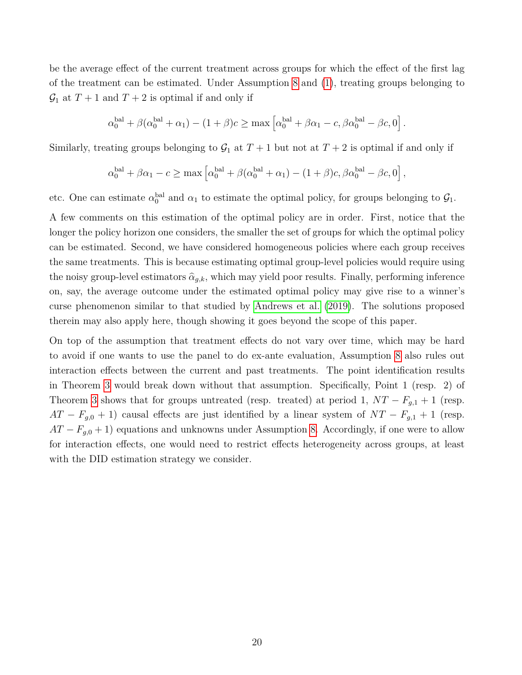be the average effect of the current treatment across groups for which the effect of the first lag of the treatment can be estimated. Under Assumption [8](#page-17-0) and [\(1\)](#page-6-3), treating groups belonging to  $\mathcal{G}_1$  at  $T + 1$  and  $T + 2$  is optimal if and only if

$$
\alpha_0^{\text{bal}} + \beta(\alpha_0^{\text{bal}} + \alpha_1) - (1 + \beta)c \ge \max \left[ \alpha_0^{\text{bal}} + \beta \alpha_1 - c, \beta \alpha_0^{\text{bal}} - \beta c, 0 \right].
$$

Similarly, treating groups belonging to  $G_1$  at  $T+1$  but not at  $T+2$  is optimal if and only if

$$
\alpha_0^{\text{bal}} + \beta \alpha_1 - c \ge \max \left[ \alpha_0^{\text{bal}} + \beta (\alpha_0^{\text{bal}} + \alpha_1) - (1 + \beta) c, \beta \alpha_0^{\text{bal}} - \beta c, 0 \right],
$$

etc. One can estimate  $\alpha_0^{\text{bal}}$  and  $\alpha_1$  to estimate the optimal policy, for groups belonging to  $\mathcal{G}_1$ .

A few comments on this estimation of the optimal policy are in order. First, notice that the longer the policy horizon one considers, the smaller the set of groups for which the optimal policy can be estimated. Second, we have considered homogeneous policies where each group receives the same treatments. This is because estimating optimal group-level policies would require using the noisy group-level estimators  $\hat{\alpha}_{q,k}$ , which may yield poor results. Finally, performing inference on, say, the average outcome under the estimated optimal policy may give rise to a winner's curse phenomenon similar to that studied by [Andrews et al.](#page-20-13) [\(2019\)](#page-20-13). The solutions proposed therein may also apply here, though showing it goes beyond the scope of this paper.

On top of the assumption that treatment effects do not vary over time, which may be hard to avoid if one wants to use the panel to do ex-ante evaluation, Assumption [8](#page-17-0) also rules out interaction effects between the current and past treatments. The point identification results in Theorem [3](#page-17-1) would break down without that assumption. Specifically, Point 1 (resp. 2) of Theorem [3](#page-17-1) shows that for groups untreated (resp. treated) at period 1,  $NT - F_{g,1} + 1$  (resp.  $AT - F_{g,0} + 1$ ) causal effects are just identified by a linear system of  $NT - F_{g,1} + 1$  (resp. *AT* − *F*<sub>*g*,0</sub> + 1) equations and unknowns under Assumption [8.](#page-17-0) Accordingly, if one were to allow for interaction effects, one would need to restrict effects heterogeneity across groups, at least with the DID estimation strategy we consider.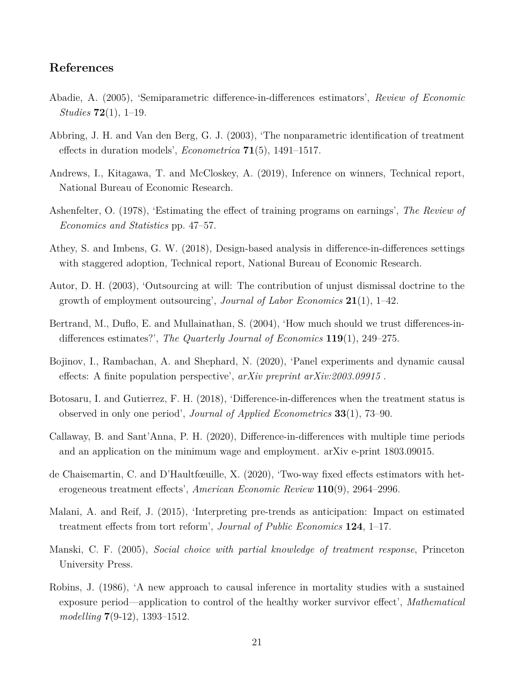# **References**

- <span id="page-20-10"></span>Abadie, A. (2005), 'Semiparametric difference-in-differences estimators', *Review of Economic Studies* **72**(1), 1–19.
- <span id="page-20-5"></span>Abbring, J. H. and Van den Berg, G. J. (2003), 'The nonparametric identification of treatment effects in duration models', *Econometrica* **71**(5), 1491–1517.
- <span id="page-20-13"></span>Andrews, I., Kitagawa, T. and McCloskey, A. (2019), Inference on winners, Technical report, National Bureau of Economic Research.
- <span id="page-20-9"></span>Ashenfelter, O. (1978), 'Estimating the effect of training programs on earnings', *The Review of Economics and Statistics* pp. 47–57.
- <span id="page-20-11"></span>Athey, S. and Imbens, G. W. (2018), Design-based analysis in difference-in-differences settings with staggered adoption, Technical report, National Bureau of Economic Research.
- <span id="page-20-12"></span>Autor, D. H. (2003), 'Outsourcing at will: The contribution of unjust dismissal doctrine to the growth of employment outsourcing', *Journal of Labor Economics* **21**(1), 1–42.
- <span id="page-20-8"></span>Bertrand, M., Duflo, E. and Mullainathan, S. (2004), 'How much should we trust differences-indifferences estimates?', *The Quarterly Journal of Economics* **119**(1), 249–275.
- <span id="page-20-3"></span>Bojinov, I., Rambachan, A. and Shephard, N. (2020), 'Panel experiments and dynamic causal effects: A finite population perspective', *arXiv preprint arXiv:2003.09915* .
- <span id="page-20-7"></span>Botosaru, I. and Gutierrez, F. H. (2018), 'Difference-in-differences when the treatment status is observed in only one period', *Journal of Applied Econometrics* **33**(1), 73–90.
- <span id="page-20-2"></span>Callaway, B. and Sant'Anna, P. H. (2020), Difference-in-differences with multiple time periods and an application on the minimum wage and employment. arXiv e-print 1803.09015.
- <span id="page-20-1"></span>de Chaisemartin, C. and D'Haultfœuille, X. (2020), 'Two-way fixed effects estimators with heterogeneous treatment effects', *American Economic Review* **110**(9), 2964–2996.
- <span id="page-20-6"></span>Malani, A. and Reif, J. (2015), 'Interpreting pre-trends as anticipation: Impact on estimated treatment effects from tort reform', *Journal of Public Economics* **124**, 1–17.
- <span id="page-20-0"></span>Manski, C. F. (2005), *Social choice with partial knowledge of treatment response*, Princeton University Press.
- <span id="page-20-4"></span>Robins, J. (1986), 'A new approach to causal inference in mortality studies with a sustained exposure period—application to control of the healthy worker survivor effect', *Mathematical modelling* **7**(9-12), 1393–1512.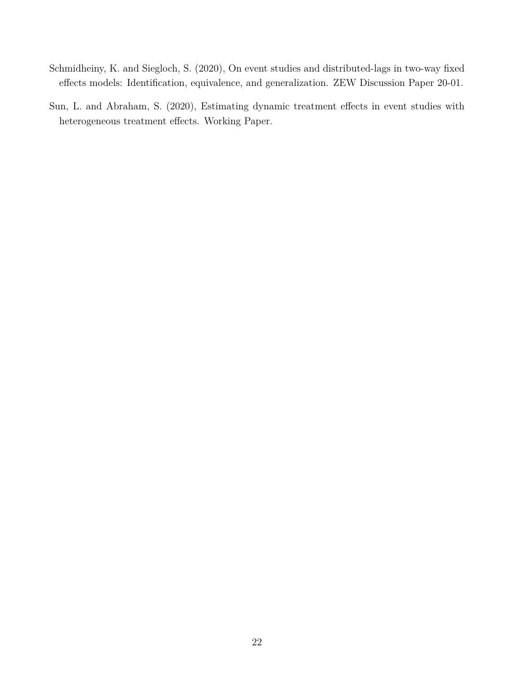- <span id="page-21-1"></span>Schmidheiny, K. and Siegloch, S. (2020), On event studies and distributed-lags in two-way fixed effects models: Identification, equivalence, and generalization. ZEW Discussion Paper 20-01.
- <span id="page-21-0"></span>Sun, L. and Abraham, S. (2020), Estimating dynamic treatment effects in event studies with heterogeneous treatment effects. Working Paper.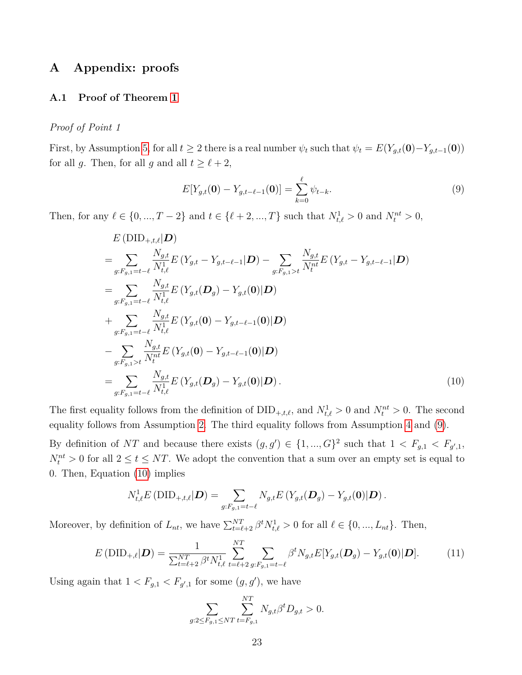# **A Appendix: proofs**

## **A.1 Proof of Theorem [1](#page-12-0)**

## *Proof of Point 1*

First, by Assumption [5,](#page-6-1) for all  $t \geq 2$  there is a real number  $\psi_t$  such that  $\psi_t = E(Y_{g,t}(\mathbf{0}) - Y_{g,t-1}(\mathbf{0}))$ for all *g*. Then, for all *g* and all  $t \ge \ell + 2$ ,

<span id="page-22-1"></span><span id="page-22-0"></span>
$$
E[Y_{g,t}(\mathbf{0}) - Y_{g,t-\ell-1}(\mathbf{0})] = \sum_{k=0}^{\ell} \psi_{t-k}.
$$
\n(9)

Then, for any  $\ell \in \{0, ..., T - 2\}$  and  $t \in \{\ell + 2, ..., T\}$  such that  $N_{t,\ell}^1 > 0$  and  $N_t^{nt} > 0$ ,

$$
E(DID_{+,t,\ell}|\mathbf{D})
$$
\n
$$
= \sum_{g:F_{g,1}=t-\ell} \frac{N_{g,t}}{N_{t,\ell}^{1}} E(Y_{g,t} - Y_{g,t-\ell-1}|\mathbf{D}) - \sum_{g:F_{g,1}>t} \frac{N_{g,t}}{N_{t}^{nt}} E(Y_{g,t} - Y_{g,t-\ell-1}|\mathbf{D})
$$
\n
$$
= \sum_{g:F_{g,1}=t-\ell} \frac{N_{g,t}}{N_{t,\ell}^{1}} E(Y_{g,t}(\mathbf{D}_{g}) - Y_{g,t}(\mathbf{0})|\mathbf{D})
$$
\n
$$
+ \sum_{g:F_{g,1}=t-\ell} \frac{N_{g,t}}{N_{t,\ell}^{1}} E(Y_{g,t}(\mathbf{0}) - Y_{g,t-\ell-1}(\mathbf{0})|\mathbf{D})
$$
\n
$$
- \sum_{g:F_{g,1}>t} \frac{N_{g,t}}{N_{t}^{nt}} E(Y_{g,t}(\mathbf{0}) - Y_{g,t-\ell-1}(\mathbf{0})|\mathbf{D})
$$
\n
$$
= \sum_{g:F_{g,1}=t-\ell} \frac{N_{g,t}}{N_{t,\ell}^{1}} E(Y_{g,t}(\mathbf{D}_{g}) - Y_{g,t}(\mathbf{0})|\mathbf{D}). \tag{10}
$$

The first equality follows from the definition of  $DID_{+,t,\ell}$ , and  $N_{t,\ell}^1 > 0$  and  $N_t^{nt} > 0$ . The second equality follows from Assumption [2.](#page-4-2) The third equality follows from Assumption [4](#page-5-0) and [\(9\)](#page-22-0).

By definition of NT and because there exists  $(g, g') \in \{1, ..., G\}^2$  such that  $1 < F_{g,1} < F_{g,1}$ ,  $N_t^{nt} > 0$  for all  $2 \le t \le NT$ . We adopt the convention that a sum over an empty set is equal to 0. Then, Equation [\(10\)](#page-22-1) implies

$$
N_{t,\ell}^1 E\left(\text{DID}_{+,t,\ell}|\mathbf{D}\right) = \sum_{g:F_{g,1}=t-\ell} N_{g,t} E\left(Y_{g,t}(\mathbf{D}_g) - Y_{g,t}(\mathbf{0})|\mathbf{D}\right).
$$

Moreover, by definition of  $L_{nt}$ , we have  $\sum_{t=\ell+2}^{NT} \beta^t N_{t,\ell}^1 > 0$  for all  $\ell \in \{0, ..., L_{nt}\}$ . Then,

<span id="page-22-2"></span>
$$
E(DID_{+, \ell} | \mathbf{D}) = \frac{1}{\sum_{t=\ell+2}^{NT} \beta^t N_{t,\ell}^1} \sum_{t=\ell+2}^{NT} \sum_{g: F_{g,1}=t-\ell} \beta^t N_{g,t} E[Y_{g,t}(\mathbf{D}_g) - Y_{g,t}(\mathbf{0}) | \mathbf{D}].
$$
 (11)

Using again that  $1 < F_{g,1} < F_{g',1}$  for some  $(g, g')$ , we have

$$
\sum_{g:2 \leq F_{g,1} \leq NT} \sum_{t=F_{g,1}}^{NT} N_{g,t} \beta^t D_{g,t} > 0.
$$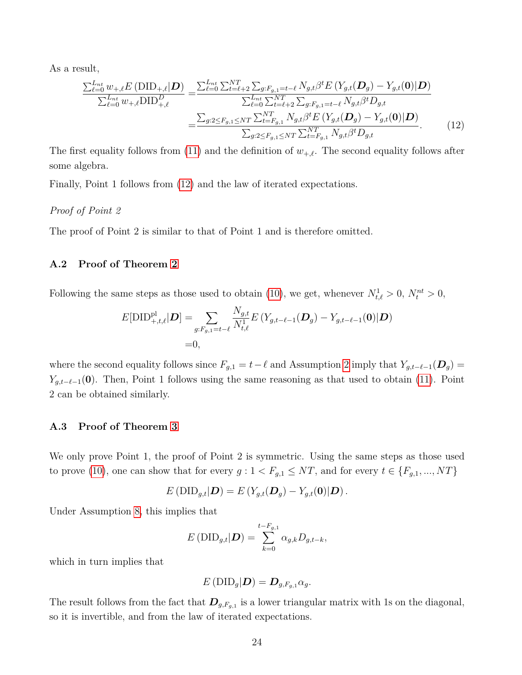As a result,

<span id="page-23-0"></span>
$$
\frac{\sum_{\ell=0}^{L_{nt}} w_{+,\ell} E\left(\text{DID}_{+,\ell} | \mathbf{D}\right)}{\sum_{\ell=0}^{L_{nt}} w_{+,\ell} \text{DID}_{+,\ell}^{D}} = \frac{\sum_{\ell=0}^{L_{nt}} \sum_{t=\ell+2}^{NT} \sum_{g: F_{g,1}=t-\ell} N_{g,t} \beta^t E\left(Y_{g,t}(\mathbf{D}_g) - Y_{g,t}(\mathbf{0}) | \mathbf{D}\right)}{\sum_{\ell=0}^{L_{nt}} \sum_{t=\ell+2}^{NT} \sum_{g: F_{g,1}=t-\ell} N_{g,t} \beta^t D_{g,t}} \n= \frac{\sum_{g:2 \leq F_{g,1} \leq NT} \sum_{t=F_{g,1}}^{NT} N_{g,t} \beta^t E\left(Y_{g,t}(\mathbf{D}_g) - Y_{g,t}(\mathbf{0}) | \mathbf{D}\right)}{\sum_{g:2 \leq F_{g,1} \leq NT} \sum_{t=F_{g,1}}^{NT} N_{g,t} \beta^t D_{g,t}}
$$
\n(12)

The first equality follows from [\(11\)](#page-22-2) and the definition of  $w_{+,\ell}$ . The second equality follows after some algebra.

Finally, Point 1 follows from [\(12\)](#page-23-0) and the law of iterated expectations.

# *Proof of Point 2*

The proof of Point 2 is similar to that of Point 1 and is therefore omitted.

### **A.2 Proof of Theorem [2](#page-15-0)**

Following the same steps as those used to obtain [\(10\)](#page-22-1), we get, whenever  $N_{t,\ell}^1 > 0$ ,  $N_t^{nt} > 0$ ,

$$
E[\text{DID}_{+,t,\ell}^{\text{pl}}|\mathbf{D}] = \sum_{g:F_{g,1}=t-\ell} \frac{N_{g,t}}{N_{t,\ell}^1} E(Y_{g,t-\ell-1}(\mathbf{D}_g) - Y_{g,t-\ell-1}(\mathbf{0})|\mathbf{D})
$$
  
=0,

where the second equality follows since  $F_{g,1} = t - \ell$  and Assumption [2](#page-4-2) imply that  $Y_{g,t-\ell-1}(\mathbf{D}_g)$ *Y*<sub>*g*</sub>, $t$ − $\ell$ −1(0). Then, Point 1 follows using the same reasoning as that used to obtain [\(11\)](#page-22-2). Point 2 can be obtained similarly.

#### **A.3 Proof of Theorem [3](#page-17-1)**

We only prove Point 1, the proof of Point 2 is symmetric. Using the same steps as those used to prove [\(10\)](#page-22-1), one can show that for every  $g: 1 < F_{g,1} \leq NT$ , and for every  $t \in \{F_{g,1},...,NT\}$ 

$$
E(\text{DID}_{g,t}|\boldsymbol{D})=E(Y_{g,t}(\boldsymbol{D}_g)-Y_{g,t}(\boldsymbol{0})|\boldsymbol{D}).
$$

Under Assumption [8,](#page-17-0) this implies that

$$
E(\text{DID}_{g,t}|\boldsymbol{D}) = \sum_{k=0}^{t-F_{g,1}} \alpha_{g,k} D_{g,t-k},
$$

which in turn implies that

$$
E\left(\text{DID}_g|\boldsymbol{D}\right)=\boldsymbol{D}_{g,F_g,1}\alpha_g.
$$

The result follows from the fact that  $D_{g,F_{g,1}}$  is a lower triangular matrix with 1s on the diagonal, so it is invertible, and from the law of iterated expectations.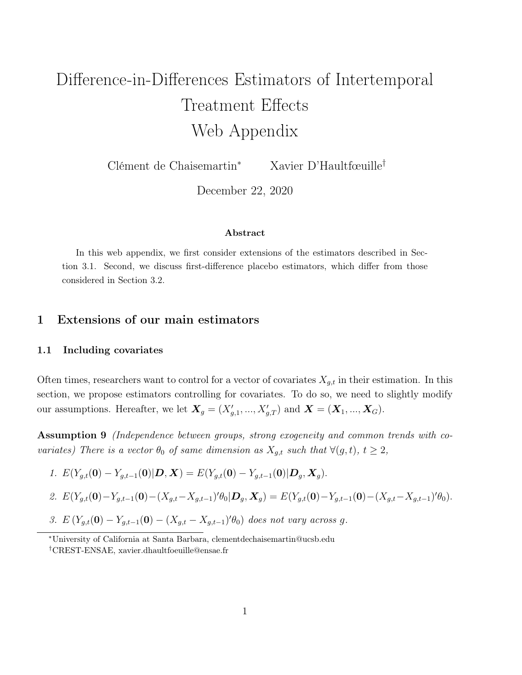# Difference-in-Differences Estimators of Intertemporal Treatment Effects Web Appendix

Clément de Chaisemartin<sup>∗</sup> Xavier D'Haultfœuille†

December 22, 2020

#### Abstract

In this web appendix, we first consider extensions of the estimators described in Section 3.1. Second, we discuss first-difference placebo estimators, which differ from those considered in Section 3.2.

# 1 Extensions of our main estimators

#### 1.1 Including covariates

Often times, researchers want to control for a vector of covariates  $X_{g,t}$  in their estimation. In this section, we propose estimators controlling for covariates. To do so, we need to slightly modify our assumptions. Hereafter, we let  $X_g = (X'_{g,1},..., X'_{g,T})$  and  $\boldsymbol{X} = (\boldsymbol{X}_1,...,\boldsymbol{X}_G)$ .

Assumption 9 (Independence between groups, strong exogeneity and common trends with covariates) There is a vector  $\theta_0$  of same dimension as  $X_{g,t}$  such that  $\forall (g,t), t \geq 2$ ,

\n- 1. 
$$
E(Y_{g,t}(\mathbf{0}) - Y_{g,t-1}(\mathbf{0}) | \mathbf{D}, \mathbf{X}) = E(Y_{g,t}(\mathbf{0}) - Y_{g,t-1}(\mathbf{0}) | \mathbf{D}_g, \mathbf{X}_g).
$$
\n- 2.  $E(Y_{g,t}(\mathbf{0}) - Y_{g,t-1}(\mathbf{0}) - (X_{g,t} - X_{g,t-1})' \theta_0 | \mathbf{D}_g, \mathbf{X}_g) = E(Y_{g,t}(\mathbf{0}) - Y_{g,t-1}(\mathbf{0}) - (X_{g,t} - X_{g,t-1})' \theta_0).$
\n- 3.  $E(Y_{g,t}(\mathbf{0}) - Y_{g,t-1}(\mathbf{0}) - (X_{g,t} - X_{g,t-1})' \theta_0)$  does not vary across  $g$ .
\n

<sup>∗</sup>University of California at Santa Barbara, clementdechaisemartin@ucsb.edu

<sup>†</sup>CREST-ENSAE, xavier.dhaultfoeuille@ensae.fr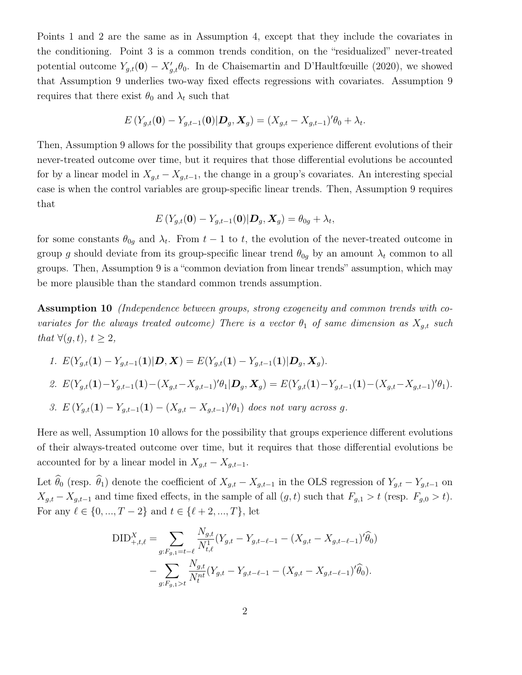Points 1 and 2 are the same as in Assumption 4, except that they include the covariates in the conditioning. Point 3 is a common trends condition, on the "residualized" never-treated potential outcome  $Y_{g,t}(\mathbf{0}) - X'_{g,t} \theta_0$ . In de Chaisemartin and D'Haultfœuille (2020), we showed that Assumption 9 underlies two-way fixed effects regressions with covariates. Assumption 9 requires that there exist  $\theta_0$  and  $\lambda_t$  such that

$$
E(Y_{g,t}(\mathbf{0}) - Y_{g,t-1}(\mathbf{0})|\mathbf{D}_g, \mathbf{X}_g) = (X_{g,t} - X_{g,t-1})'\theta_0 + \lambda_t.
$$

Then, Assumption 9 allows for the possibility that groups experience different evolutions of their never-treated outcome over time, but it requires that those differential evolutions be accounted for by a linear model in  $X_{g,t} - X_{g,t-1}$ , the change in a group's covariates. An interesting special case is when the control variables are group-specific linear trends. Then, Assumption 9 requires that

$$
E(Y_{g,t}(\mathbf{0}) - Y_{g,t-1}(\mathbf{0})|\mathbf{D}_g, \mathbf{X}_g) = \theta_{0g} + \lambda_t,
$$

for some constants  $\theta_{0g}$  and  $\lambda_t$ . From  $t-1$  to t, the evolution of the never-treated outcome in group g should deviate from its group-specific linear trend  $\theta_{0g}$  by an amount  $\lambda_t$  common to all groups. Then, Assumption 9 is a "common deviation from linear trends" assumption, which may be more plausible than the standard common trends assumption.

Assumption 10 (Independence between groups, strong exogeneity and common trends with covariates for the always treated outcome) There is a vector  $\theta_1$  of same dimension as  $X_{g,t}$  such that  $\forall (g,t), t \geq 2,$ 

\n- 1. 
$$
E(Y_{g,t}(1) - Y_{g,t-1}(1)|\mathbf{D}, \mathbf{X}) = E(Y_{g,t}(1) - Y_{g,t-1}(1)|\mathbf{D}_g, \mathbf{X}_g).
$$
\n- 2.  $E(Y_{g,t}(1) - Y_{g,t-1}(1) - (X_{g,t} - X_{g,t-1})'\theta_1|\mathbf{D}_g, \mathbf{X}_g) = E(Y_{g,t}(1) - Y_{g,t-1}(1) - (X_{g,t} - X_{g,t-1})'\theta_1).$
\n- 3.  $E(Y_{g,t}(1) - Y_{g,t-1}(1) - (X_{g,t} - X_{g,t-1})'\theta_1)$  does not vary across  $g$ .
\n

Here as well, Assumption 10 allows for the possibility that groups experience different evolutions of their always-treated outcome over time, but it requires that those differential evolutions be accounted for by a linear model in  $X_{g,t} - X_{g,t-1}$ .

Let  $\widehat{\theta}_0$  (resp.  $\widehat{\theta}_1$ ) denote the coefficient of  $X_{g,t} - X_{g,t-1}$  in the OLS regression of  $Y_{g,t} - Y_{g,t-1}$  on  $X_{g,t} - X_{g,t-1}$  and time fixed effects, in the sample of all  $(g,t)$  such that  $F_{g,1} > t$  (resp.  $F_{g,0} > t$ ). For any  $\ell \in \{0, ..., T - 2\}$  and  $t \in \{\ell + 2, ..., T\}$ , let

$$
\text{DID}_{+,t,\ell}^{X} = \sum_{g:F_{g,1}=t-\ell} \frac{N_{g,t}}{N_{t,\ell}^{1}} (Y_{g,t} - Y_{g,t-\ell-1} - (X_{g,t} - X_{g,t-\ell-1})'\widehat{\theta}_{0}) - \sum_{g:F_{g,1}>t} \frac{N_{g,t}}{N_{t}^{nt}} (Y_{g,t} - Y_{g,t-\ell-1} - (X_{g,t} - X_{g,t-\ell-1})'\widehat{\theta}_{0}).
$$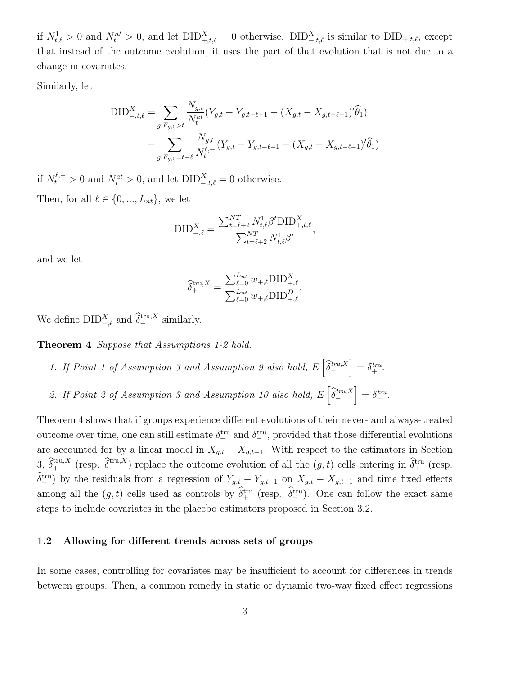if  $N_{t,\ell}^1 > 0$  and  $N_t^{nt} > 0$ , and let  $\text{DID}_{+,t,\ell}^X = 0$  otherwise.  $\text{DID}_{+,t,\ell}^X$  is similar to  $\text{DID}_{+,t,\ell}$ , except that instead of the outcome evolution, it uses the part of that evolution that is not due to a change in covariates.

Similarly, let

$$
\text{DID}_{-,t,\ell}^{X} = \sum_{g:F_{g,0} > t} \frac{N_{g,t}}{N_t^{at}} (Y_{g,t} - Y_{g,t-\ell-1} - (X_{g,t} - X_{g,t-\ell-1})'\hat{\theta}_1)
$$

$$
- \sum_{g:F_{g,0} = t-\ell} \frac{N_{g,t}}{N_t^{\ell,-}} (Y_{g,t} - Y_{g,t-\ell-1} - (X_{g,t} - X_{g,t-\ell-1})'\hat{\theta}_1)
$$

if  $N_t^{\ell,-} > 0$  and  $N_t^{at} > 0$ , and let  $DID_{-,t,\ell}^X = 0$  otherwise.

Then, for all  $\ell \in \{0, ..., L_{nt}\}$ , we let

$$
\text{DID}_{+,\ell}^{X} = \frac{\sum_{t=\ell+2}^{NT} N_{t,\ell}^{1} \beta^{t} \text{DID}_{+,t,\ell}^{X}}{\sum_{t=\ell+2}^{NT} N_{t,\ell}^{1} \beta^{t}},
$$

and we let

$$
\hat{\delta}_{+}^{\text{tru}, X} = \frac{\sum_{\ell=0}^{L_{nt}} w_{+,\ell} \text{DID}_{+,\ell}^{X}}{\sum_{\ell=0}^{L_{nt}} w_{+,\ell} \text{DID}_{+,\ell}^{D}}.
$$

We define  $\text{DID}_{-\ell}^X$  and  $\widehat{\delta}_-^{\text{tru},X}$  similarly.

Theorem 4 Suppose that Assumptions 1-2 hold.

1. If Point 1 of Assumption 3 and Assumption 9 also hold,  $E\left[\widehat{\delta}_+^{tru,X}\right]$  $\Big] = \delta_+^{tru}.$ 

2. If Point 2 of Assumption 3 and Assumption 10 also hold,  $E\left[\widehat{\delta}_-^{tru,X}\right]$  $\Big] = \delta^{tru}_{-}.$ 

Theorem 4 shows that if groups experience different evolutions of their never- and always-treated outcome over time, one can still estimate  $\delta_+^{\text{tru}}$  and  $\delta_-^{\text{tru}}$ , provided that those differential evolutions are accounted for by a linear model in  $X_{g,t} - X_{g,t-1}$ . With respect to the estimators in Section 3,  $\delta_{+}^{\text{tru},X}$  (resp.  $\delta_{-}^{\text{tru},X}$ ) replace the outcome evolution of all the  $(g,t)$  cells entering in  $\delta_{+}^{\text{tru}}$  (resp.  $\delta_{-}^{\text{tru}}$ ) by the residuals from a regression of  $Y_{g,t} - Y_{g,t-1}$  on  $X_{g,t} - X_{g,t-1}$  and time fixed effects among all the  $(g, t)$  cells used as controls by  $\delta_{+}^{\text{tru}}$  (resp.  $\delta_{-}^{\text{tru}}$ ). One can follow the exact same steps to include covariates in the placebo estimators proposed in Section 3.2.

## 1.2 Allowing for different trends across sets of groups

In some cases, controlling for covariates may be insufficient to account for differences in trends between groups. Then, a common remedy in static or dynamic two-way fixed effect regressions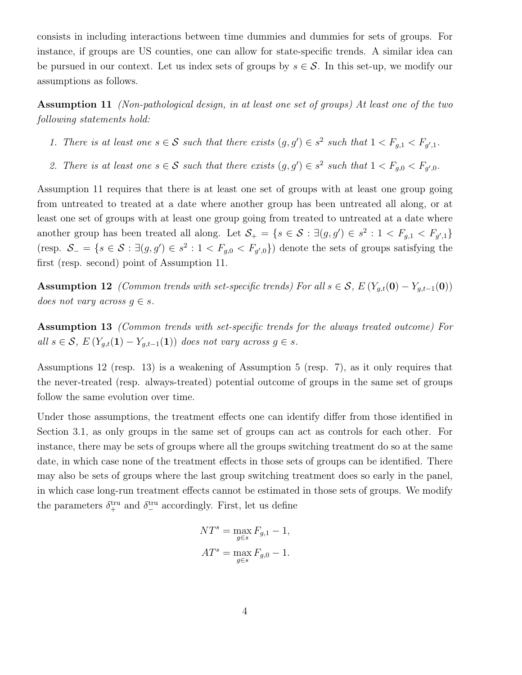consists in including interactions between time dummies and dummies for sets of groups. For instance, if groups are US counties, one can allow for state-specific trends. A similar idea can be pursued in our context. Let us index sets of groups by  $s \in \mathcal{S}$ . In this set-up, we modify our assumptions as follows.

Assumption 11 (Non-pathological design, in at least one set of groups) At least one of the two following statements hold:

- 1. There is at least one  $s \in S$  such that there exists  $(g, g') \in s^2$  such that  $1 < F_{g,1} < F_{g',1}$ .
- 2. There is at least one  $s \in S$  such that there exists  $(g, g') \in s^2$  such that  $1 < F_{g,0} < F_{g',0}$ .

Assumption 11 requires that there is at least one set of groups with at least one group going from untreated to treated at a date where another group has been untreated all along, or at least one set of groups with at least one group going from treated to untreated at a date where another group has been treated all along. Let  $S_+ = \{s \in S : \exists (g, g') \in s^2 : 1 < F_{g,1} < F_{g',1}\}\$ (resp.  $S_{-} = \{s \in S : \exists (g, g') \in s^2 : 1 < F_{g,0} < F_{g',0}\}\)$  denote the sets of groups satisfying the first (resp. second) point of Assumption 11.

Assumption 12 (Common trends with set-specific trends) For all  $s \in S$ ,  $E(Y_{g,t}(0) - Y_{g,t-1}(0))$ does not vary across  $q \in s$ .

Assumption 13 (Common trends with set-specific trends for the always treated outcome) For all  $s \in S$ ,  $E(Y_{q,t}(1) - Y_{q,t-1}(1))$  does not vary across  $q \in s$ .

Assumptions 12 (resp. 13) is a weakening of Assumption 5 (resp. 7), as it only requires that the never-treated (resp. always-treated) potential outcome of groups in the same set of groups follow the same evolution over time.

Under those assumptions, the treatment effects one can identify differ from those identified in Section 3.1, as only groups in the same set of groups can act as controls for each other. For instance, there may be sets of groups where all the groups switching treatment do so at the same date, in which case none of the treatment effects in those sets of groups can be identified. There may also be sets of groups where the last group switching treatment does so early in the panel, in which case long-run treatment effects cannot be estimated in those sets of groups. We modify the parameters  $\delta_{+}^{\text{tru}}$  and  $\delta_{-}^{\text{tru}}$  accordingly. First, let us define

$$
NT^s = \max_{g \in s} F_{g,1} - 1,
$$
  

$$
AT^s = \max_{g \in s} F_{g,0} - 1.
$$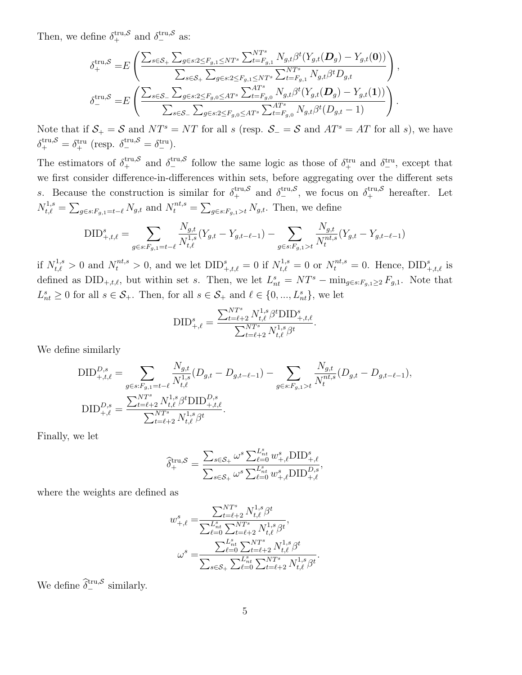Then, we define  $\delta_{+}^{\text{tru},\mathcal{S}}$  and  $\delta_{-}^{\text{tru},\mathcal{S}}$  as:

$$
\delta_{+}^{\text{tru},\mathcal{S}} = E\left(\frac{\sum_{s \in \mathcal{S}_{+}} \sum_{g \in s:2 \leq F_{g,1} \leq NT^{s}} \sum_{t=F_{g,1}}^{NT^{s}} N_{g,t} \beta^{t} (Y_{g,t}(\mathbf{D}_{g}) - Y_{g,t}(\mathbf{0}))}{\sum_{s \in \mathcal{S}_{+}} \sum_{g \in s:2 \leq F_{g,1} \leq NT^{s}} \sum_{t=F_{g,1}}^{NT^{s}} N_{g,t} \beta^{t} D_{g,t}}\right),
$$
\n
$$
\delta_{-}^{\text{tru},\mathcal{S}} = E\left(\frac{\sum_{s \in \mathcal{S}_{-}} \sum_{g \in s:2 \leq F_{g,0} \leq AT^{s}} \sum_{t=F_{g,0}}^{AT^{s}} N_{g,t} \beta^{t} (Y_{g,t}(\mathbf{D}_{g}) - Y_{g,t}(\mathbf{1}))}{\sum_{s \in \mathcal{S}_{-}} \sum_{g \in s:2 \leq F_{g,0} \leq AT^{s}} \sum_{t=F_{g,0}}^{AT^{s}} N_{g,t} \beta^{t} (D_{g,t} - 1)}\right).
$$

Note that if  $S_+ = S$  and  $NT^s = NT$  for all s (resp.  $S_- = S$  and  $AT^s = AT$  for all s), we have  $\delta^{\text{tru},\mathcal{S}}_{+} = \delta^{\text{tru}}_{+}$  (resp.  $\delta^{\text{tru},\mathcal{S}}_{-} = \delta^{\text{tru}}_{-}$ ).

The estimators of  $\delta_+^{\text{tru},\mathcal{S}}$  and  $\delta_-^{\text{tru},\mathcal{S}}$  follow the same logic as those of  $\delta_+^{\text{tru}}$  and  $\delta_-^{\text{tru}}$ , except that we first consider difference-in-differences within sets, before aggregating over the different sets s. Because the construction is similar for  $\delta_+^{\text{tru},\mathcal{S}}$  and  $\delta_-^{\text{tru},\mathcal{S}}$ , we focus on  $\delta_+^{\text{tru},\mathcal{S}}$  hereafter. Let  $N_{t,\ell}^{1,s} = \sum_{g \in s: F_{g,1}=t-\ell} N_{g,t}$  and  $N_t^{nt,s} = \sum_{g \in s: F_{g,1}>t} N_{g,t}$ . Then, we define

$$
DID_{+,t,\ell}^s = \sum_{g \in s: F_{g,1} = t-\ell} \frac{N_{g,t}}{N_{t,\ell}^{1,s}} (Y_{g,t} - Y_{g,t-\ell-1}) - \sum_{g \in s: F_{g,1} > t} \frac{N_{g,t}}{N_t^{nt,s}} (Y_{g,t} - Y_{g,t-\ell-1})
$$

if  $N_{t,\ell}^{1,s} > 0$  and  $N_t^{nt,s} > 0$ , and we let  $\text{DID}_{+,t,\ell}^s = 0$  if  $N_{t,\ell}^{1,s} = 0$  or  $N_t^{nt,s} = 0$ . Hence,  $\text{DID}_{+,t,\ell}^s$  is defined as  $DID_{+,t,\ell}$ , but within set s. Then, we let  $L_{nt}^s = NT^s - \min_{g \in s: F_{g,1} \geq 2} F_{g,1}$ . Note that  $L_{nt}^s \geq 0$  for all  $s \in \mathcal{S}_+$ . Then, for all  $s \in \mathcal{S}_+$  and  $\ell \in \{0, ..., L_{nt}^s\}$ , we let

$$
DID_{+, \ell}^{s} = \frac{\sum_{t=\ell+2}^{NT^s} N_{t,\ell}^{1,s} \beta^t DID_{+,t,\ell}^{s}}{\sum_{t=\ell+2}^{NT^s} N_{t,\ell}^{1,s} \beta^t}.
$$

We define similarly

$$
\text{DID}_{+,t,\ell}^{D,s} = \sum_{g \in s: F_{g,1} = t-\ell} \frac{N_{g,t}}{N_{t,\ell}^{1,s}} (D_{g,t} - D_{g,t-\ell-1}) - \sum_{g \in s: F_{g,1} > t} \frac{N_{g,t}}{N_t^{nt,s}} (D_{g,t} - D_{g,t-\ell-1}),
$$
  
\n
$$
\text{DID}_{+, \ell}^{D,s} = \frac{\sum_{t=\ell+2}^{NT^s} N_{t,\ell}^{1,s} \beta^t \text{DID}_{+,t,\ell}^{D,s}}{\sum_{t=\ell+2}^{NT^s} N_{t,\ell}^{1,s} \beta^t}.
$$

Finally, we let

$$
\widehat{\delta}^{\text{tru},\mathcal{S}}_{+} = \frac{\sum_{s \in \mathcal{S}_{+}} \omega^s \sum_{\ell=0}^{L_{nt}^s} w^s_{+,\ell} \text{DID}^s_{+,\ell}}{\sum_{s \in \mathcal{S}_{+}} \omega^s \sum_{\ell=0}^{L_{nt}^s} w^s_{+,\ell} \text{DID}^{D,s}_{+,\ell}},
$$

where the weights are defined as

$$
\begin{aligned} w_{+,\ell}^s=&\frac{\sum_{t=\ell+2}^{NT^s} N_{t,\ell}^{1,s}\beta^t}{\sum_{\ell=0}^{L_{nt}^s} \sum_{t=\ell+2}^{NT^s} N_{t,\ell}^{1,s}\beta^t},\\ \omega^s=&\frac{\sum_{\ell=0}^{L_{nt}^s} \sum_{t=\ell+2}^{NT^s} N_{t,\ell}^{1,s}\beta^t}{\sum_{s\in\mathcal{S}_+} \sum_{\ell=0}^{L_{nt}^s} \sum_{t=\ell+2}^{NT^s} N_{t,\ell}^{1,s}\beta^t}. \end{aligned}
$$

We define  $\hat{\delta}^{\text{tru},\mathcal{S}}_{-}$  similarly.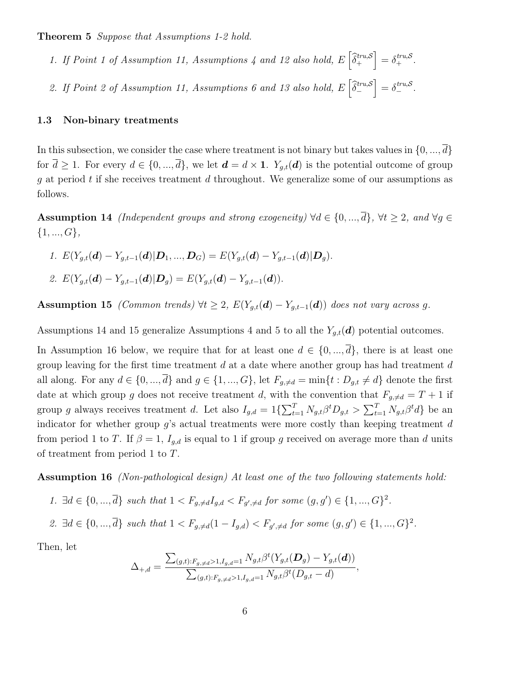Theorem 5 Suppose that Assumptions 1-2 hold.

1. If Point 1 of Assumption 11, Assumptions 4 and 12 also hold,  $E\left[\hat{\delta}_+^{tra, S}\right]$  $\Big] = \delta_+^{tru, \mathcal{S}}.$ 2. If Point 2 of Assumption 11, Assumptions 6 and 13 also hold,  $E\left[\hat{\delta}_-^{tra, S}\right]$  $\Big] = \delta^{tru, \mathcal{S}}_{-}.$ 

#### 1.3 Non-binary treatments

In this subsection, we consider the case where treatment is not binary but takes values in  $\{0, ..., \overline{d}\}\$ for  $\overline{d} \geq 1$ . For every  $d \in \{0, ..., \overline{d}\},$  we let  $\boldsymbol{d} = d \times \boldsymbol{1}$ .  $Y_{q,t}(\boldsymbol{d})$  is the potential outcome of group  $g$  at period  $t$  if she receives treatment  $d$  throughout. We generalize some of our assumptions as follows.

Assumption 14 (Independent groups and strong exogeneity)  $\forall d \in \{0, ..., \overline{d}\}, \forall t \geq 2, \text{ and } \forall g \in$  $\{1, ..., G\},\$ 

1.  $E(Y_{q,t}(\boldsymbol{d}) - Y_{q,t-1}(\boldsymbol{d}) | \boldsymbol{D}_1, ..., \boldsymbol{D}_G) = E(Y_{q,t}(\boldsymbol{d}) - Y_{q,t-1}(\boldsymbol{d}) | \boldsymbol{D}_q).$ 2.  $E(Y_{q,t}(\boldsymbol{d}) - Y_{q,t-1}(\boldsymbol{d}) | \boldsymbol{D}_q) = E(Y_{q,t}(\boldsymbol{d}) - Y_{q,t-1}(\boldsymbol{d})).$ 

Assumption 15 (Common trends)  $\forall t \geq 2$ ,  $E(Y_{g,t}(\boldsymbol{d}) - Y_{g,t-1}(\boldsymbol{d}))$  does not vary across g.

Assumptions 14 and 15 generalize Assumptions 4 and 5 to all the  $Y_{g,t}(\boldsymbol{d})$  potential outcomes.

In Assumption 16 below, we require that for at least one  $d \in \{0, ..., \overline{d}\}\)$  there is at least one group leaving for the first time treatment  $d$  at a date where another group has had treatment  $d$ all along. For any  $d \in \{0, ..., \overline{d}\}$  and  $g \in \{1, ..., G\}$ , let  $F_{g, \neq d} = \min\{t : D_{g,t} \neq d\}$  denote the first date at which group g does not receive treatment d, with the convention that  $F_{g,\neq d} = T + 1$  if group g always receives treatment d. Let also  $I_{g,d} = 1\left\{\sum_{t=1}^T N_{g,t}\beta^t D_{g,t} > \sum_{t=1}^T N_{g,t}\beta^t d\right\}$  be an indicator for whether group  $g$ 's actual treatments were more costly than keeping treatment  $d$ from period 1 to T. If  $\beta = 1$ ,  $I_{g,d}$  is equal to 1 if group g received on average more than d units of treatment from period 1 to T.

Assumption 16 (Non-pathological design) At least one of the two following statements hold:

1.  $\exists d \in \{0, ..., \overline{d}\}$  such that  $1 < F_{g, \neq d} I_{g,d} < F_{g', \neq d}$  for some  $(g, g') \in \{1, ..., G\}^2$ .

2.  $\exists d \in \{0, ..., \overline{d}\}$  such that  $1 < F_{g, \neq d}(1 - I_{g,d}) < F_{g', \neq d}$  for some  $(g, g') \in \{1, ..., G\}^2$ .

Then, let

$$
\Delta_{+,d} = \frac{\sum_{(g,t):F_{g,\neq d} > 1, I_{g,d} = 1} N_{g,t} \beta^t(Y_{g,t}(\mathbf{D}_g) - Y_{g,t}(d))}{\sum_{(g,t):F_{g,\neq d} > 1, I_{g,d} = 1} N_{g,t} \beta^t(D_{g,t} - d)},
$$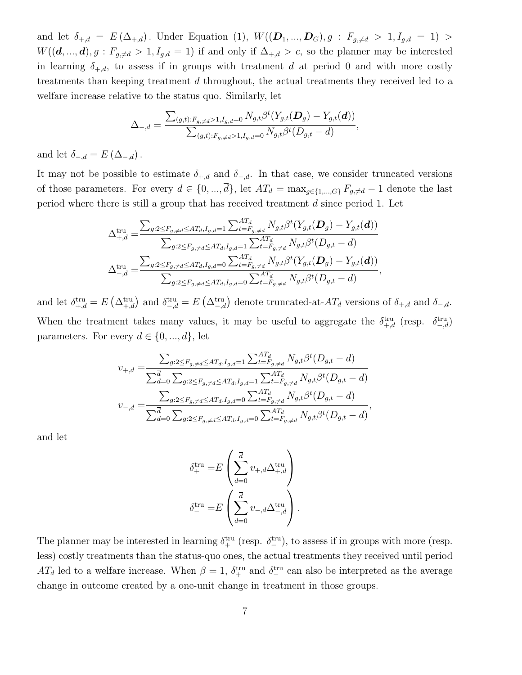and let  $\delta_{+,d} = E(\Delta_{+,d})$ . Under Equation (1),  $W((D_1,...,D_G), g : F_{g, \neq d} > 1, I_{g,d} = 1)$  $W((\boldsymbol{d}, ..., \boldsymbol{d}), g : F_{g, \neq d} > 1, I_{g,d} = 1)$  if and only if  $\Delta_{+,d} > c$ , so the planner may be interested in learning  $\delta_{+,d}$ , to assess if in groups with treatment d at period 0 and with more costly treatments than keeping treatment d throughout, the actual treatments they received led to a welfare increase relative to the status quo. Similarly, let

$$
\Delta_{-,d} = \frac{\sum_{(g,t):F_{g,\neq d}>1, I_{g,d}=0} N_{g,t} \beta^t(Y_{g,t}(\mathbf{D}_g) - Y_{g,t}(\mathbf{d}))}{\sum_{(g,t):F_{g,\neq d}>1, I_{g,d}=0} N_{g,t} \beta^t(D_{g,t} - d)},
$$

and let  $\delta_{-,d} = E(\Delta_{-,d})$ .

It may not be possible to estimate  $\delta_{+,d}$  and  $\delta_{-,d}$ . In that case, we consider truncated versions of those parameters. For every  $d \in \{0, ..., \overline{d}\},$  let  $AT_d = \max_{g \in \{1, ..., G\}} F_{g, \neq d} - 1$  denote the last period where there is still a group that has received treatment d since period 1. Let

$$
\Delta_{+,d}^{\text{tru}} = \frac{\sum_{g:2 \leq F_{g,\neq d} \leq AT_d, I_{g,d}=1} \sum_{t=F_{g,\neq d}}^{AT_d} N_{g,t} \beta^t(Y_{g,t}(\mathbf{D}_g) - Y_{g,t}(d))}{\sum_{g:2 \leq F_{g,\neq d} \leq AT_d, I_{g,d}=1} \sum_{t=F_{g,\neq d}}^{AT_d} N_{g,t} \beta^t(D_{g,t} - d)}
$$
\n
$$
\Delta_{-,d}^{\text{tru}} = \frac{\sum_{g:2 \leq F_{g,\neq d} \leq AT_d, I_{g,d}=0} \sum_{t=F_{g,\neq d}}^{AT_d} N_{g,t} \beta^t(Y_{g,t}(\mathbf{D}_g) - Y_{g,t}(d))}{\sum_{g:2 \leq F_{g,\neq d} \leq AT_d, I_{g,d}=0} \sum_{t=F_{g,\neq d}}^{AT_d} N_{g,t} \beta^t(D_{g,t} - d)},
$$

and let  $\delta_{+,d}^{\text{tru}} = E\left(\Delta_{+,d}^{\text{tru}}\right)$  and  $\delta_{-,d}^{\text{tru}} = E\left(\Delta_{-,d}^{\text{tru}}\right)$  denote truncated-at- $AT_d$  versions of  $\delta_{+,d}$  and  $\delta_{-,d}$ . When the treatment takes many values, it may be useful to aggregate the  $\delta_{+,d}^{\text{tru}}$  (resp.  $\delta_{-,d}^{\text{tru}}$ ) parameters. For every  $d \in \{0, ..., \overline{d}\},$  let

$$
v_{+,d} = \frac{\sum_{g:2 \leq F_{g,\neq d} \leq AT_d, I_{g,d}=1} \sum_{t=F_{g,\neq d}}^{AT_d} N_{g,t} \beta^t (D_{g,t} - d)}{\sum_{d=0}^{\overline{d}} \sum_{g:2 \leq F_{g,\neq d} \leq AT_d, I_{g,d}=1} \sum_{t=F_{g,\neq d}}^{AT_d} N_{g,t} \beta^t (D_{g,t} - d)}
$$

$$
v_{-,d} = \frac{\sum_{g:2 \leq F_{g,\neq d} \leq AT_d, I_{g,d}=0} \sum_{t=F_{g,\neq d}}^{AT_d} N_{g,t} \beta^t (D_{g,t} - d)}{\sum_{d=0}^{\overline{d}} \sum_{g:2 \leq F_{g,\neq d} \leq AT_d, I_{g,d}=0} \sum_{t=F_{g,\neq d}}^{AT_d} N_{g,t} \beta^t (D_{g,t} - d)},
$$

and let

$$
\delta^{\text{tru}}_{+} = E \left( \sum_{d=0}^{\overrightarrow{d}} v_{+,d} \Delta^{\text{tru}}_{+,d} \right)
$$

$$
\delta^{\text{tru}}_{-} = E \left( \sum_{d=0}^{\overrightarrow{d}} v_{-,d} \Delta^{\text{tru}}_{-,d} \right).
$$

The planner may be interested in learning  $\delta_{+}^{\text{tru}}$  (resp.  $\delta_{-}^{\text{tru}}$ ), to assess if in groups with more (resp. less) costly treatments than the status-quo ones, the actual treatments they received until period  $AT_d$  led to a welfare increase. When  $\beta = 1$ ,  $\delta_{+}^{\text{tru}}$  and  $\delta_{-}^{\text{tru}}$  can also be interpreted as the average change in outcome created by a one-unit change in treatment in those groups.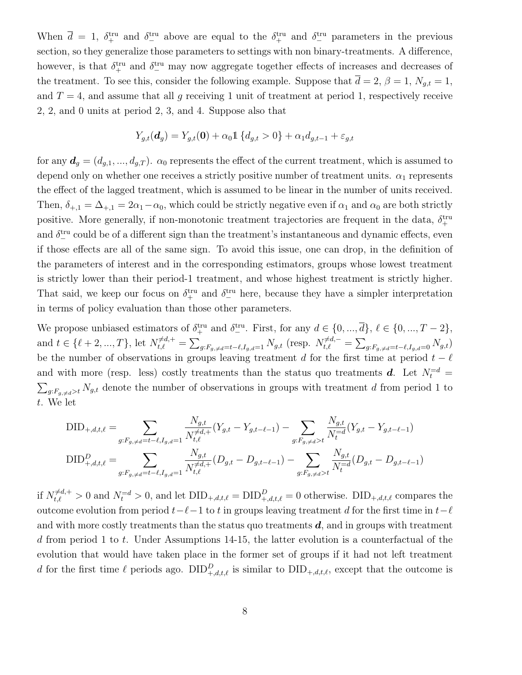When  $\overline{d} = 1$ ,  $\delta_{+}^{\text{tru}}$  and  $\delta_{-}^{\text{tru}}$  above are equal to the  $\delta_{+}^{\text{tru}}$  and  $\delta_{-}^{\text{tru}}$  parameters in the previous section, so they generalize those parameters to settings with non binary-treatments. A difference, however, is that  $\delta_{+}^{\text{tru}}$  and  $\delta_{-}^{\text{tru}}$  may now aggregate together effects of increases and decreases of the treatment. To see this, consider the following example. Suppose that  $\overline{d} = 2$ ,  $\beta = 1$ ,  $N_{q,t} = 1$ , and  $T = 4$ , and assume that all g receiving 1 unit of treatment at period 1, respectively receive 2, 2, and 0 units at period 2, 3, and 4. Suppose also that

$$
Y_{g,t}(\boldsymbol{d}_g) = Y_{g,t}(\boldsymbol{0}) + \alpha_0 \mathbb{1} \{ d_{g,t} > 0 \} + \alpha_1 d_{g,t-1} + \varepsilon_{g,t}
$$

for any  $d_g = (d_{g,1}, ..., d_{g,T})$ .  $\alpha_0$  represents the effect of the current treatment, which is assumed to depend only on whether one receives a strictly positive number of treatment units.  $\alpha_1$  represents the effect of the lagged treatment, which is assumed to be linear in the number of units received. Then,  $\delta_{+,1} = \Delta_{+,1} = 2\alpha_1 - \alpha_0$ , which could be strictly negative even if  $\alpha_1$  and  $\alpha_0$  are both strictly positive. More generally, if non-monotonic treatment trajectories are frequent in the data,  $\delta_{+}^{\text{true}}$ and  $\delta^{\text{tru}}_{-}$  could be of a different sign than the treatment's instantaneous and dynamic effects, even if those effects are all of the same sign. To avoid this issue, one can drop, in the definition of the parameters of interest and in the corresponding estimators, groups whose lowest treatment is strictly lower than their period-1 treatment, and whose highest treatment is strictly higher. That said, we keep our focus on  $\delta_{+}^{\text{tru}}$  and  $\delta_{-}^{\text{tru}}$  here, because they have a simpler interpretation in terms of policy evaluation than those other parameters.

We propose unbiased estimators of  $\delta_+^{\text{tru}}$  and  $\delta_-^{\text{tru}}$ . First, for any  $d \in \{0, ..., \overline{d}\}, \ell \in \{0, ..., T-2\},$ and  $t \in \{\ell + 2, ..., T\}$ , let  $N_{t,\ell}^{\neq d,+} = \sum_{g:F_g,\neq d=t-\ell,I_{g,d}=1} N_{g,t}$  (resp.  $N_{t,\ell}^{\neq d,-} = \sum_{g:F_g,\neq d=t-\ell,I_{g,d}=0} N_{g,t}$ ) be the number of observations in groups leaving treatment d for the first time at period  $t - \ell$ and with more (resp. less) costly treatments than the status quo treatments  $d$ . Let  $N_t^{=d}$  =  $\sum_{g: F_{g,\neq d} > t} N_{g,t}$  denote the number of observations in groups with treatment d from period 1 to t. We let

$$
\text{DID}_{+,d,t,\ell} = \sum_{g:F_{g,\neq d}=t-\ell, I_{g,d}=1} \frac{N_{g,t}}{N_{t,\ell}^{\neq d,+}} (Y_{g,t} - Y_{g,t-\ell-1}) - \sum_{g:F_{g,\neq d}>t} \frac{N_{g,t}}{N_t^{\neq d}} (Y_{g,t} - Y_{g,t-\ell-1})
$$

$$
\text{DID}_{+,d,t,\ell}^D = \sum_{g:F_{g,\neq d}=t-\ell, I_{g,d}=1} \frac{N_{g,t}}{N_{t,\ell}^{\neq d,+}} (D_{g,t} - D_{g,t-\ell-1}) - \sum_{g:F_{g,\neq d}>t} \frac{N_{g,t}}{N_t^{\neq d}} (D_{g,t} - D_{g,t-\ell-1})
$$

if  $N_{t,\ell}^{\neq d,+} > 0$  and  $N_t^{-d} > 0$ , and let  $\text{DID}_{+,d,t,\ell} = \text{DID}_{+,d,t,\ell}^D = 0$  otherwise.  $\text{DID}_{+,d,t,\ell}$  compares the outcome evolution from period  $t-\ell-1$  to t in groups leaving treatment d for the first time in  $t-\ell$ and with more costly treatments than the status quo treatments  $\boldsymbol{d}$ , and in groups with treatment d from period 1 to t. Under Assumptions 14-15, the latter evolution is a counterfactual of the evolution that would have taken place in the former set of groups if it had not left treatment d for the first time  $\ell$  periods ago.  $DID_{+,d,t,\ell}^D$  is similar to  $DID_{+,d,t,\ell}$ , except that the outcome is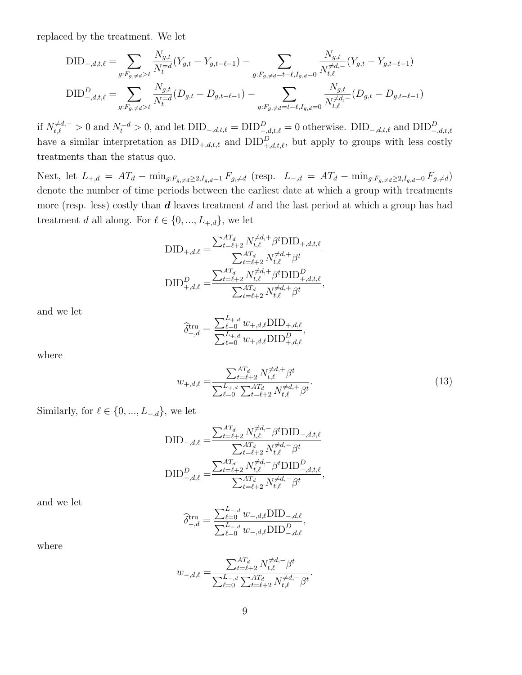replaced by the treatment. We let

$$
\text{DID}_{-,d,t,\ell} = \sum_{g:F_{g,\neq d} > t} \frac{N_{g,t}}{N_t^{=d}} (Y_{g,t} - Y_{g,t-\ell-1}) - \sum_{g:F_{g,\neq d} = t-\ell, I_{g,d} = 0} \frac{N_{g,t}}{N_{t,\ell}^{\neq d,-}} (Y_{g,t} - Y_{g,t-\ell-1})
$$
  
\n
$$
\text{DID}_{-,d,t,\ell}^D = \sum_{g:F_{g,\neq d} > t} \frac{N_{g,t}}{N_t^{=d}} (D_{g,t} - D_{g,t-\ell-1}) - \sum_{g:F_{g,\neq d} = t-\ell, I_{g,d} = 0} \frac{N_{g,t}}{N_{t,\ell}^{\neq d,-}} (D_{g,t} - D_{g,t-\ell-1})
$$

if  $N_{t,\ell}^{\neq d,-} > 0$  and  $N_t^{=d} > 0$ , and let  $\text{DID}_{-,d,t,\ell} = \text{DID}_{-,d,t,\ell}^D = 0$  otherwise.  $\text{DID}_{-,d,t,\ell}$  and  $\text{DID}_{-,d,t,\ell}^D$ have a similar interpretation as  $DID_{+,d,t,\ell}$  and  $DID_{+,d,t,\ell}^D$ , but apply to groups with less costly treatments than the status quo.

Next, let  $L_{+,d} = AT_d - \min_{g: F_{g, \neq d} \geq 2, I_{g,d}=1} F_{g, \neq d}$  (resp.  $L_{-,d} = AT_d - \min_{g: F_{g, \neq d} \geq 2, I_{g,d}=0} F_{g, \neq d}$ ) denote the number of time periods between the earliest date at which a group with treatments more (resp. less) costly than  $d$  leaves treatment  $d$  and the last period at which a group has had treatment d all along. For  $\ell \in \{0, ..., L_{+,d}\}$ , we let

$$
\text{DID}_{+,d,\ell} = \frac{\sum_{t=\ell+2}^{AT_d} N_{t,\ell}^{\neq d,+} \beta^t \text{DID}_{+,d,t,\ell}}{\sum_{t=\ell+2}^{AT_d} N_{t,\ell}^{\neq d,+} \beta^t}
$$

$$
\text{DID}_{+,d,\ell}^{D} = \frac{\sum_{t=\ell+2}^{AT_d} N_{t,\ell}^{\neq d,+} \beta^t \text{DID}_{+,d,t,\ell}^{D}}{\sum_{t=\ell+2}^{AT_d} N_{t,\ell}^{\neq d,+} \beta^t},
$$

and we let

$$
\hat{\delta}^{\text{tru}}_{+,d} = \frac{\sum_{\ell=0}^{L_{+,d}} w_{+,d,\ell} \text{DID}_{+,d,\ell}}{\sum_{\ell=0}^{L_{+,d}} w_{+,d,\ell} \text{DID}_{+,d,\ell}^D}
$$

where

$$
w_{+,d,\ell} = \frac{\sum_{t=\ell+2}^{AT_d} N_{t,\ell}^{\neq d,+} \beta^t}{\sum_{\ell=0}^{L_{+,d}} \sum_{t=\ell+2}^{AT_d} N_{t,\ell}^{\neq d,+} \beta^t}.
$$
(13)

,

Similarly, for  $\ell \in \{0,...,L_{-,d}\},$  we let

$$
\text{DID}_{-,d,\ell} = \frac{\sum_{t=\ell+2}^{AT_d} N_{t,\ell}^{\neq d,-} \beta^t \text{DID}_{-,d,t,\ell}}{\sum_{t=\ell+2}^{AT_d} N_{t,\ell}^{\neq d,-} \beta^t}
$$

$$
\text{DID}_{-,d,\ell}^{D} = \frac{\sum_{t=\ell+2}^{AT_d} N_{t,\ell}^{\neq d,-} \beta^t \text{DID}_{-,d,t,\ell}^{D}}{\sum_{t=\ell+2}^{AT_d} N_{t,\ell}^{\neq d,-} \beta^t},
$$

and we let

$$
\widehat{\delta}_{-,d}^{\text{tru}} = \frac{\sum_{\ell=0}^{L_{-,d}} w_{-,d,\ell} \text{DID}_{-,d,\ell}}{\sum_{\ell=0}^{L_{-,d}} w_{-,d,\ell} \text{DID}_{-,d,\ell}},
$$

where

$$
w_{-,d,\ell} = \frac{\sum_{t=\ell+2}^{AT_d} N_{t,\ell}^{\neq d,-} \beta^t}{\sum_{\ell=0}^{L_{-,d}} \sum_{t=\ell+2}^{AT_d} N_{t,\ell}^{\neq d,-} \beta^t}.
$$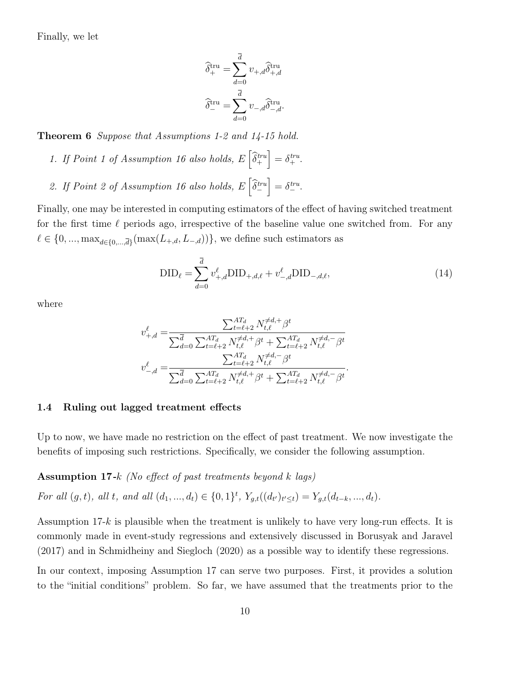Finally, we let

$$
\widehat{\delta}^{\text{tru}}_{+} = \sum_{d=0}^{\overline{d}} v_{+,d} \widehat{\delta}^{\text{tru}}_{+,d}
$$

$$
\widehat{\delta}^{\text{tru}}_{-} = \sum_{d=0}^{\overline{d}} v_{-,d} \widehat{\delta}^{\text{tru}}_{-,d}.
$$

Theorem 6 Suppose that Assumptions 1-2 and 14-15 hold.

1. If Point 1 of Assumption 16 also holds,  $E\left[\widehat{\delta}_+^{true}\right]$  $\Big] = \delta_+^{tru}.$ 

2. If Point 2 of Assumption 16 also holds,  $E\left[\widehat{\delta}_-^{tru}\right]$  $\Big] = \delta^{tru}_{-}.$ 

Finally, one may be interested in computing estimators of the effect of having switched treatment for the first time  $\ell$  periods ago, irrespective of the baseline value one switched from. For any  $\ell \in \{0, ..., \max_{d \in \{0, ..., \overline{d}\}} (\max(L_{+,d}, L_{-,d}))\},\$  we define such estimators as

$$
DID_{\ell} = \sum_{d=0}^{\overline{d}} v_{+,d}^{\ell} DID_{+,d,\ell} + v_{-,d}^{\ell} DID_{-,d,\ell},
$$
\n(14)

where

$$
v_{+,d}^{\ell} = \frac{\sum_{t=\ell+2}^{AT_d} N_{t,\ell}^{\neq d,+} \beta^t}{\sum_{d=0}^{\overline{d}} \sum_{t=\ell+2}^{AT_d} N_{t,\ell}^{\neq d,+} \beta^t + \sum_{t=\ell+2}^{AT_d} N_{t,\ell}^{\neq d,-} \beta^t}
$$

$$
v_{-,d}^{\ell} = \frac{\sum_{t=\ell+2}^{AT_d} N_{t,\ell}^{\neq d,-} \beta^t}{\sum_{d=0}^{\overline{d}} \sum_{t=\ell+2}^{AT_d} N_{t,\ell}^{\neq d,+} \beta^t + \sum_{t=\ell+2}^{AT_d} N_{t,\ell}^{\neq d,-} \beta^t}.
$$

#### 1.4 Ruling out lagged treatment effects

Up to now, we have made no restriction on the effect of past treatment. We now investigate the benefits of imposing such restrictions. Specifically, we consider the following assumption.

**Assumption 17-k** (No effect of past treatments beyond k lags)

For all  $(g, t)$ , all t, and all  $(d_1, ..., d_t) \in \{0, 1\}^t$ ,  $Y_{g,t}((d_{t'})_{t' \le t}) = Y_{g,t}(d_{t-k}, ..., d_t)$ .

Assumption 17-k is plausible when the treatment is unlikely to have very long-run effects. It is commonly made in event-study regressions and extensively discussed in Borusyak and Jaravel (2017) and in Schmidheiny and Siegloch (2020) as a possible way to identify these regressions.

In our context, imposing Assumption 17 can serve two purposes. First, it provides a solution to the "initial conditions" problem. So far, we have assumed that the treatments prior to the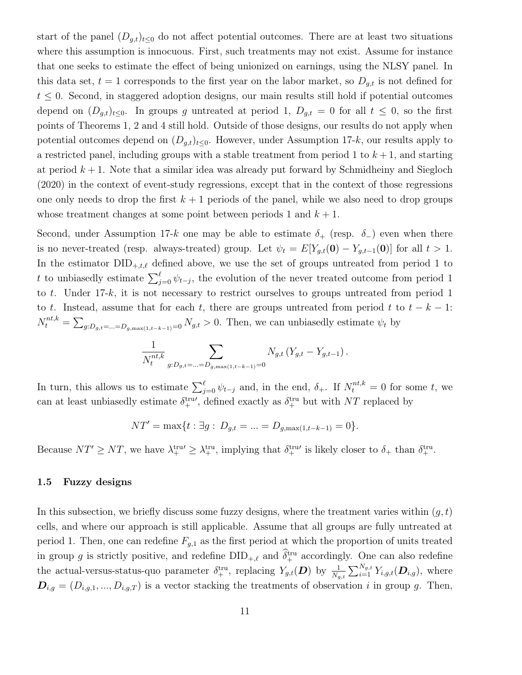start of the panel  $(D_{q,t})_{t\leq0}$  do not affect potential outcomes. There are at least two situations where this assumption is innocuous. First, such treatments may not exist. Assume for instance that one seeks to estimate the effect of being unionized on earnings, using the NLSY panel. In this data set,  $t = 1$  corresponds to the first year on the labor market, so  $D_{g,t}$  is not defined for  $t \leq 0$ . Second, in staggered adoption designs, our main results still hold if potential outcomes depend on  $(D_{g,t})_{t\leq0}$ . In groups g untreated at period 1,  $D_{g,t} = 0$  for all  $t \leq 0$ , so the first points of Theorems 1, 2 and 4 still hold. Outside of those designs, our results do not apply when potential outcomes depend on  $(D_{q,t})_{t\leq 0}$ . However, under Assumption 17-k, our results apply to a restricted panel, including groups with a stable treatment from period 1 to  $k+1$ , and starting at period  $k + 1$ . Note that a similar idea was already put forward by Schmidheiny and Siegloch (2020) in the context of event-study regressions, except that in the context of those regressions one only needs to drop the first  $k + 1$  periods of the panel, while we also need to drop groups whose treatment changes at some point between periods 1 and  $k + 1$ .

Second, under Assumption 17-k one may be able to estimate  $\delta_+$  (resp.  $\delta_-$ ) even when there is no never-treated (resp. always-treated) group. Let  $\psi_t = E[Y_{g,t}(\mathbf{0}) - Y_{g,t-1}(\mathbf{0})]$  for all  $t > 1$ . In the estimator  $DID_{+,t,\ell}$  defined above, we use the set of groups untreated from period 1 to t to unbiasedly estimate  $\sum_{j=0}^{\ell} \psi_{t-j}$ , the evolution of the never treated outcome from period 1 to t. Under  $17-k$ , it is not necessary to restrict ourselves to groups untreated from period 1 to t. Instead, assume that for each t, there are groups untreated from period t to  $t - k - 1$ :  $N_t^{nt,k} = \sum_{g:D_{g,t}=\ldots=D_{g,\text{max}(1,t-k-1)}=0} N_{g,t} > 0.$  Then, we can unbiasedly estimate  $\psi_t$  by

$$
\frac{1}{N_t^{nt,k}} \sum_{g:D_{g,t}=\ldots=D_{g,\max(1,t-k-1)}=0} N_{g,t} \left(Y_{g,t}-Y_{g,t-1}\right).
$$

In turn, this allows us to estimate  $\sum_{j=0}^{\ell} \psi_{t-j}$  and, in the end,  $\delta_{+}$ . If  $N_t^{nt,k} = 0$  for some t, we can at least unbiasedly estimate  $\delta_{+}^{\text{tru}}$ , defined exactly as  $\delta_{+}^{\text{tru}}$  but with NT replaced by

$$
NT' = \max\{t : \exists g : D_{g,t} = ... = D_{g,\max(1,t-k-1)} = 0\}.
$$

Because  $NT' \ge NT$ , we have  $\lambda_+^{\text{tru}} \ge \lambda_+^{\text{tru}}$ , implying that  $\delta_+^{\text{tru}}$  is likely closer to  $\delta_+$  than  $\delta_+^{\text{tru}}$ .

#### 1.5 Fuzzy designs

In this subsection, we briefly discuss some fuzzy designs, where the treatment varies within  $(q, t)$ cells, and where our approach is still applicable. Assume that all groups are fully untreated at period 1. Then, one can redefine  $F_{g,1}$  as the first period at which the proportion of units treated in group g is strictly positive, and redefine  $DID_{+, \ell}$  and  $\delta_{+}^{tru}$  accordingly. One can also redefine the actual-versus-status-quo parameter  $\delta^{tru}_{+}$ , replacing  $Y_{g,t}(\mathbf{D})$  by  $\frac{1}{N_{g,t}}\sum_{i=1}^{N_{g,t}}Y_{i,g,t}(\mathbf{D}_{i,g})$ , where  $\mathbf{D}_{i,g} = (D_{i,g,1},...,D_{i,g,T})$  is a vector stacking the treatments of observation i in group g. Then,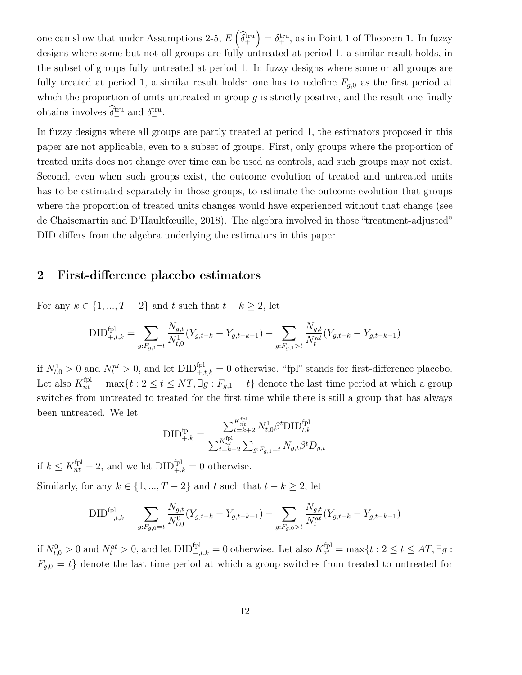one can show that under Assumptions 2-5,  $E\left(\widehat{\delta}_+^\text{true}\right)$  $= \delta_{+}^{\text{tru}}$ , as in Point 1 of Theorem 1. In fuzzy designs where some but not all groups are fully untreated at period 1, a similar result holds, in the subset of groups fully untreated at period 1. In fuzzy designs where some or all groups are fully treated at period 1, a similar result holds: one has to redefine  $F_{q,0}$  as the first period at which the proportion of units untreated in group  $g$  is strictly positive, and the result one finally obtains involves  $\delta^{\text{tru}}_{-}$  and  $\delta^{\text{tru}}_{-}$ .

In fuzzy designs where all groups are partly treated at period 1, the estimators proposed in this paper are not applicable, even to a subset of groups. First, only groups where the proportion of treated units does not change over time can be used as controls, and such groups may not exist. Second, even when such groups exist, the outcome evolution of treated and untreated units has to be estimated separately in those groups, to estimate the outcome evolution that groups where the proportion of treated units changes would have experienced without that change (see de Chaisemartin and D'Haultfœuille, 2018). The algebra involved in those "treatment-adjusted" DID differs from the algebra underlying the estimators in this paper.

# 2 First-difference placebo estimators

For any  $k \in \{1, ..., T-2\}$  and t such that  $t - k \geq 2$ , let

$$
\text{DID}_{+,t,k}^{\text{fpl}} = \sum_{g:F_{g,1}=t} \frac{N_{g,t}}{N_{t,0}^1} (Y_{g,t-k} - Y_{g,t-k-1}) - \sum_{g:F_{g,1}>t} \frac{N_{g,t}}{N_t^{nt}} (Y_{g,t-k} - Y_{g,t-k-1})
$$

if  $N_{t,0}^1 > 0$  and  $N_t^{nt} > 0$ , and let  $\text{DID}_{+,t,k}^{\text{fpl}} = 0$  otherwise. "fpl" stands for first-difference placebo. Let also  $K_{nt}^{\text{fpl}} = \max\{t : 2 \le t \le NT, \exists g : F_{g,1} = t\}$  denote the last time period at which a group switches from untreated to treated for the first time while there is still a group that has always been untreated. We let

$$
\text{DID}_{+,k}^{\text{fpl}} = \frac{\sum_{t=k+2}^{K_{nt}^{\text{fpl}}} N_{t,0}^1 \beta^t \text{DID}_{t,k}^{\text{fpl}}}{\sum_{t=k+2}^{K_{nt}^{\text{fpl}}} \sum_{g: F_{g,1}=t} N_{g,t} \beta^t D_{g,t}}
$$

if  $k \leq K_{nt}^{\text{fpl}} - 2$ , and we let  $\text{DID}_{+,k}^{\text{fpl}} = 0$  otherwise.

Similarly, for any  $k \in \{1, ..., T-2\}$  and t such that  $t - k \geq 2$ , let

$$
\text{DID}_{-,t,k}^{\text{fpl}} = \sum_{g:F_{g,0}=t} \frac{N_{g,t}}{N_{t,0}^0} (Y_{g,t-k} - Y_{g,t-k-1}) - \sum_{g:F_{g,0}>t} \frac{N_{g,t}}{N_t^{at}} (Y_{g,t-k} - Y_{g,t-k-1})
$$

if  $N_{t,0}^0 > 0$  and  $N_t^{at} > 0$ , and let  $\text{DID}_{-t,k}^{\text{fpl}} = 0$  otherwise. Let also  $K_{at}^{\text{fpl}} = \max\{t : 2 \le t \le AT, \exists g :$  $F_{g,0} = t$  denote the last time period at which a group switches from treated to untreated for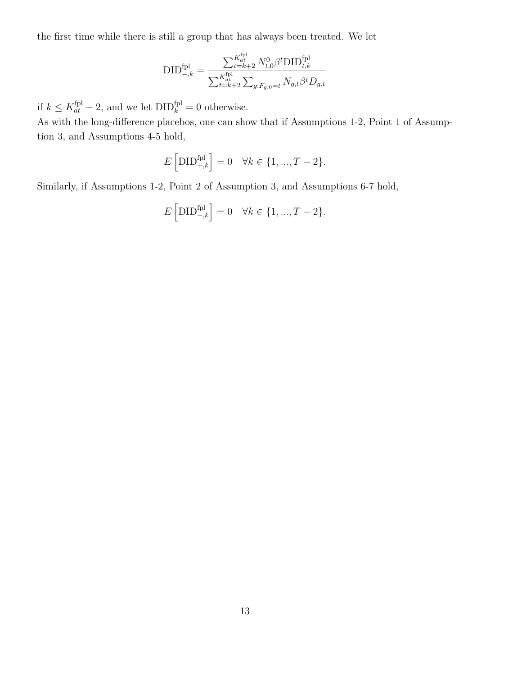the first time while there is still a group that has always been treated. We let

$$
\text{DID}^{\text{fpl}}_{-,k} = \frac{\sum_{t = k+2}^{K^{\text{fpl}}_{at}} N^0_{t,0} \beta^t \text{DID}^{\text{fpl}}_{t,k} }{\sum_{t = k+2}^{K^{\text{fpl}}_{at}} \sum_{g: F_{g,0} = t} N_{g,t} \beta^t D_{g,t}}
$$

if  $k \leq K_{at}^{\text{fpl}} - 2$ , and we let  $\text{DID}_k^{\text{fpl}} = 0$  otherwise.

As with the long-difference placebos, one can show that if Assumptions 1-2, Point 1 of Assumption 3, and Assumptions 4-5 hold,

$$
E\left[\text{DID}_{+,k}^{\text{fpl}}\right] = 0 \quad \forall k \in \{1, ..., T-2\}.
$$

Similarly, if Assumptions 1-2, Point 2 of Assumption 3, and Assumptions 6-7 hold,

$$
E\left[\text{DID}_{-,k}^{\text{fpl}}\right] = 0 \quad \forall k \in \{1, ..., T-2\}.
$$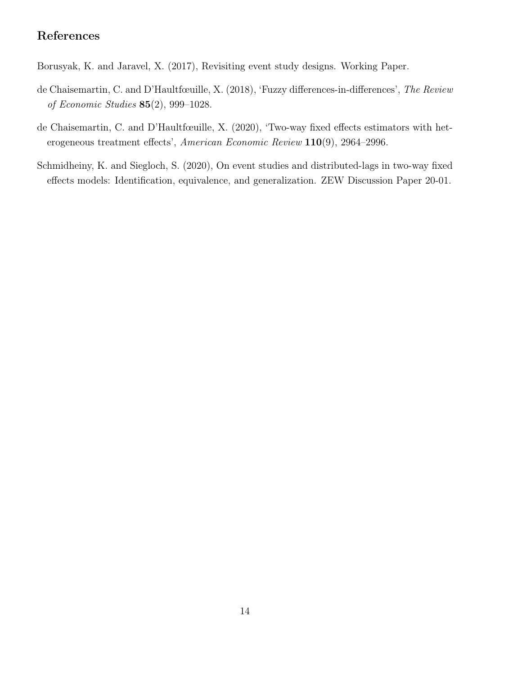# References

Borusyak, K. and Jaravel, X. (2017), Revisiting event study designs. Working Paper.

- de Chaisemartin, C. and D'Haultfœuille, X. (2018), 'Fuzzy differences-in-differences', The Review of Economic Studies 85(2), 999–1028.
- de Chaisemartin, C. and D'Haultfœuille, X. (2020), 'Two-way fixed effects estimators with heterogeneous treatment effects', American Economic Review 110(9), 2964–2996.
- Schmidheiny, K. and Siegloch, S. (2020), On event studies and distributed-lags in two-way fixed effects models: Identification, equivalence, and generalization. ZEW Discussion Paper 20-01.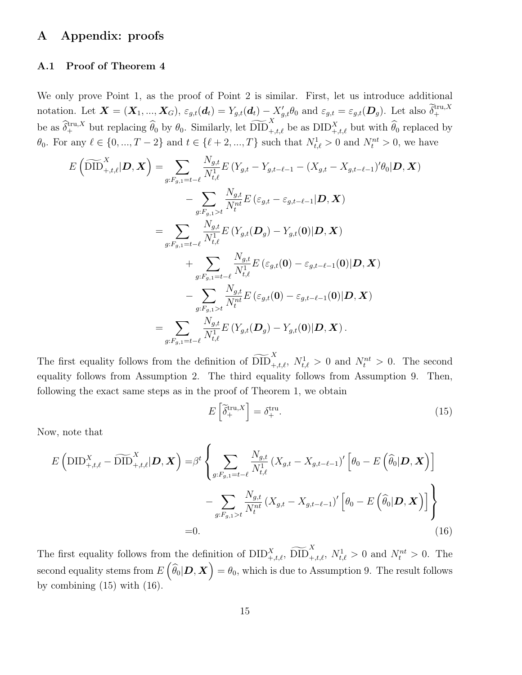# A Appendix: proofs

#### A.1 Proof of Theorem 4

We only prove Point 1, as the proof of Point 2 is similar. First, let us introduce additional notation. Let  $\mathbf{X} = (\mathbf{X}_1, ..., \mathbf{X}_G)$ ,  $\varepsilon_{g,t}(\mathbf{d}_t) = Y_{g,t}(\mathbf{d}_t) - X'_{g,t}\theta_0$  and  $\varepsilon_{g,t} = \varepsilon_{g,t}(\mathbf{D}_g)$ . Let also  $\widetilde{\delta}_+^{\text{tru},X}$ be as  $\widehat{\delta}_+^{\text{tru},X}$  but replacing  $\widehat{\theta}_0$  by  $\theta_0$ . Similarly, let  $\widetilde{\text{DID}}_{+,t,\ell}^X$  be as  $\text{DID}_{+,t,\ell}^X$  but with  $\widehat{\theta}_0$  replaced by  $\theta_0$ . For any  $\ell \in \{0, ..., T - 2\}$  and  $t \in \{\ell + 2, ..., T\}$  such that  $N_{t,\ell}^1 > 0$  and  $N_t^{nt} > 0$ , we have

$$
E\left(\widetilde{\text{DID}}_{+,t,\ell}^{X}|\mathbf{D},\mathbf{X}\right) = \sum_{g:F_{g,1}=t-\ell} \frac{N_{g,t}}{N_{t,\ell}^{1}} E\left(Y_{g,t} - Y_{g,t-\ell-1} - (X_{g,t} - X_{g,t-\ell-1})'\theta_{0}|\mathbf{D},\mathbf{X}\right)
$$
  
\n
$$
- \sum_{g:F_{g,1}>t} \frac{N_{g,t}}{N_{t}^{1}} E\left(\varepsilon_{g,t} - \varepsilon_{g,t-\ell-1}|\mathbf{D},\mathbf{X}\right)
$$
  
\n
$$
= \sum_{g:F_{g,1}=t-\ell} \frac{N_{g,t}}{N_{t,\ell}^{1}} E\left(Y_{g,t}(\mathbf{D}_{g}) - Y_{g,t}(\mathbf{0})|\mathbf{D},\mathbf{X}\right)
$$
  
\n
$$
+ \sum_{g:F_{g,1}=t-\ell} \frac{N_{g,t}}{N_{t,\ell}^{1}} E\left(\varepsilon_{g,t}(\mathbf{0}) - \varepsilon_{g,t-\ell-1}(\mathbf{0})|\mathbf{D},\mathbf{X}\right)
$$
  
\n
$$
- \sum_{g:F_{g,1}>t} \frac{N_{g,t}}{N_{t}^{1}} E\left(\varepsilon_{g,t}(\mathbf{0}) - \varepsilon_{g,t-\ell-1}(\mathbf{0})|\mathbf{D},\mathbf{X}\right)
$$
  
\n
$$
= \sum_{g:F_{g,1}=t-\ell} \frac{N_{g,t}}{N_{t,\ell}^{1}} E\left(Y_{g,t}(\mathbf{D}_{g}) - Y_{g,t}(\mathbf{0})|\mathbf{D},\mathbf{X}\right).
$$

The first equality follows from the definition of  $\widetilde{DID}^X_{+,t,\ell}, N^1_{t,\ell} > 0$  and  $N^{nt}_t > 0$ . The second equality follows from Assumption 2. The third equality follows from Assumption 9. Then, following the exact same steps as in the proof of Theorem 1, we obtain

$$
E\left[\tilde{\delta}_{+}^{\text{tru},X}\right] = \delta_{+}^{\text{tru}}.\tag{15}
$$

Now, note that

$$
E\left(\text{DID}_{+,t,\ell}^{X} - \widetilde{\text{DID}}_{+,t,\ell}^{X} | \mathbf{D}, \mathbf{X}\right) = \beta^{t} \left\{ \sum_{g:F_{g,1}=t-\ell} \frac{N_{g,t}}{N_{t,\ell}^{1}} \left(X_{g,t} - X_{g,t-\ell-1}\right)' \left[\theta_{0} - E\left(\widehat{\theta}_{0} | \mathbf{D}, \mathbf{X}\right)\right] - \sum_{g:F_{g,1}>t} \frac{N_{g,t}}{N_{t}^{nt}} \left(X_{g,t} - X_{g,t-\ell-1}\right)' \left[\theta_{0} - E\left(\widehat{\theta}_{0} | \mathbf{D}, \mathbf{X}\right)\right] \right\}
$$
  
= 0. (16)

The first equality follows from the definition of  $\text{DID}_{+,t,\ell}^X$ ,  $\widetilde{\text{DID}}_{+,t,\ell}^X$ ,  $N_{t,\ell}^1 > 0$  and  $N_t^{nt} > 0$ . The second equality stems from  $E(\widehat{\theta}_0|\mathbf{D}, \mathbf{X}) = \theta_0$ , which is due to Assumption 9. The result follows by combining (15) with (16).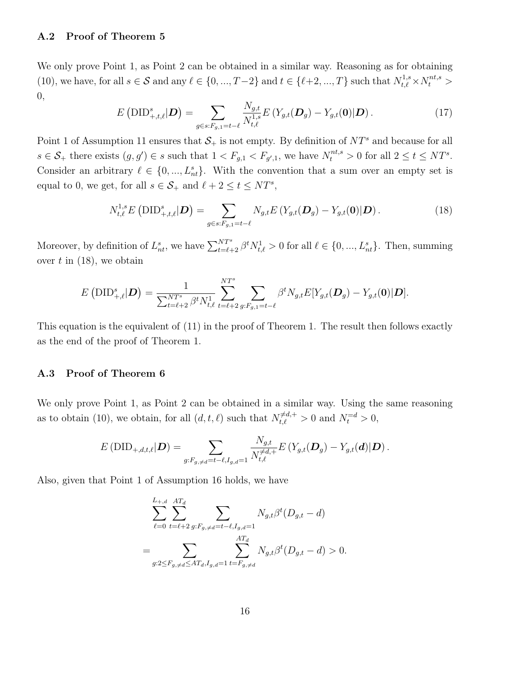#### A.2 Proof of Theorem 5

We only prove Point 1, as Point 2 can be obtained in a similar way. Reasoning as for obtaining (10), we have, for all  $s \in \mathcal{S}$  and any  $\ell \in \{0, ..., T-2\}$  and  $t \in \{\ell+2, ..., T\}$  such that  $N_{t,\ell}^{1,s} \times N_t^{nt,s} >$ 0,

$$
E\left(\text{DID}_{+,t,\ell}^{s}|\mathbf{D}\right) = \sum_{g\in s:F_{g,1}=t-\ell} \frac{N_{g,t}}{N_{t,\ell}^{1,s}} E\left(Y_{g,t}(\mathbf{D}_g) - Y_{g,t}(\mathbf{0})|\mathbf{D}\right).
$$
 (17)

Point 1 of Assumption 11 ensures that  $S_+$  is not empty. By definition of  $NT^s$  and because for all  $s \in \mathcal{S}_+$  there exists  $(g, g') \in s$  such that  $1 < F_{g,1} < F_{g',1}$ , we have  $N_t^{nt,s} > 0$  for all  $2 \le t \le NT^s$ . Consider an arbitrary  $\ell \in \{0, ..., L_{nt}^s\}$ . With the convention that a sum over an empty set is equal to 0, we get, for all  $s \in \mathcal{S}_+$  and  $\ell + 2 \le t \le NT^s$ ,

$$
N_{t,\ell}^{1,s} E\left(\text{DID}_{+,t,\ell}^s | \mathbf{D}\right) = \sum_{g \in s: F_{g,1} = t-\ell} N_{g,t} E\left(Y_{g,t}(\mathbf{D}_g) - Y_{g,t}(\mathbf{0}) | \mathbf{D}\right).
$$
\n(18)

Moreover, by definition of  $L_{nt}^s$ , we have  $\sum_{t=\ell+2}^{NT^s} \beta^t N_{t,\ell}^1 > 0$  for all  $\ell \in \{0, ..., L_{nt}^s\}$ . Then, summing over  $t$  in  $(18)$ , we obtain

$$
E\left(\text{DID}_{+,\ell}^{s}|\mathbf{D}\right) = \frac{1}{\sum_{t=\ell+2}^{NT^s} \beta^t N_{t,\ell}^1} \sum_{t=\ell+2}^{NT^s} \sum_{g:F_{g,1}=t-\ell} \beta^t N_{g,t} E[Y_{g,t}(\mathbf{D}_g) - Y_{g,t}(\mathbf{0})|\mathbf{D}].
$$

This equation is the equivalent of (11) in the proof of Theorem 1. The result then follows exactly as the end of the proof of Theorem 1.

#### A.3 Proof of Theorem 6

We only prove Point 1, as Point 2 can be obtained in a similar way. Using the same reasoning as to obtain (10), we obtain, for all  $(d, t, \ell)$  such that  $N_{t, \ell}^{\neq d,+} > 0$  and  $N_t^{\neq d} > 0$ ,

$$
E(\text{DID}_{+,d,t,\ell}|\mathbf{D}) = \sum_{g: F_{g,\neq d}=t-\ell, I_{g,d}=1} \frac{N_{g,t}}{N_{t,\ell}^{\neq d,+}} E(Y_{g,t}(\mathbf{D}_g) - Y_{g,t}(\mathbf{d})|\mathbf{D}).
$$

Also, given that Point 1 of Assumption 16 holds, we have

$$
\sum_{\ell=0}^{L_{+,d}} \sum_{t=\ell+2}^{AT_d} \sum_{g:F_g, \neq d=t-\ell, I_{g,d}=1} N_{g,t} \beta^t (D_{g,t} - d)
$$
  
= 
$$
\sum_{g:2 \leq F_g, \neq d \leq AT_d, I_{g,d}=1} \sum_{t=F_g, \neq d}^{AT_d} N_{g,t} \beta^t (D_{g,t} - d) > 0.
$$